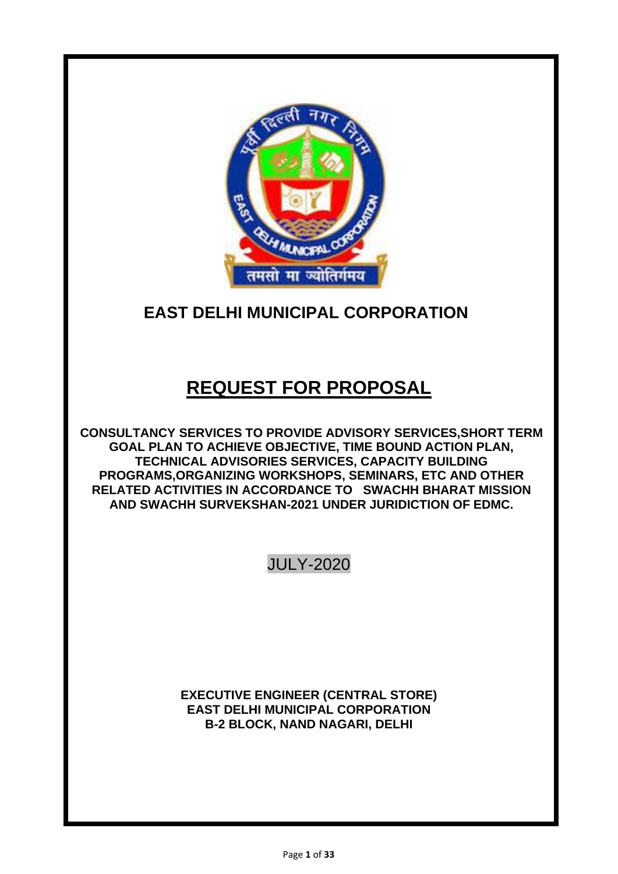

# **EAST DELHI MUNICIPAL CORPORATION**

# **REQUEST FOR PROPOSAL**

**CONSULTANCY SERVICES TO PROVIDE ADVISORY SERVICES,SHORT TERM GOAL PLAN TO ACHIEVE OBJECTIVE, TIME BOUND ACTION PLAN, TECHNICAL ADVISORIES SERVICES, CAPACITY BUILDING PROGRAMS,ORGANIZING WORKSHOPS, SEMINARS, ETC AND OTHER RELATED ACTIVITIES IN ACCORDANCE TO SWACHH BHARAT MISSION AND SWACHH SURVEKSHAN-2021 UNDER JURIDICTION OF EDMC.**

JULY-2020

**EXECUTIVE ENGINEER (CENTRAL STORE) EAST DELHI MUNICIPAL CORPORATION B-2 BLOCK, NAND NAGARI, DELHI**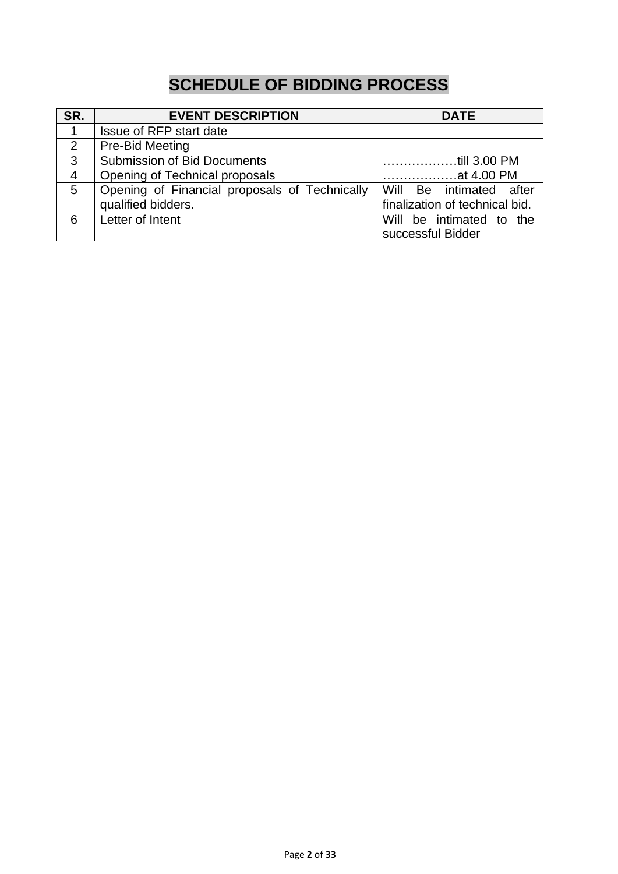# **SCHEDULE OF BIDDING PROCESS**

| SR.            | <b>EVENT DESCRIPTION</b>                      | <b>DATE</b>                    |  |  |
|----------------|-----------------------------------------------|--------------------------------|--|--|
| 1              | Issue of RFP start date                       |                                |  |  |
| 2              | Pre-Bid Meeting                               |                                |  |  |
| 3              | Submission of Bid Documents                   | till 3.00 PM                   |  |  |
| $\overline{4}$ | Opening of Technical proposals                | at 4.00 PM                     |  |  |
| 5              | Opening of Financial proposals of Technically | Will Be intimated after        |  |  |
|                | qualified bidders.                            | finalization of technical bid. |  |  |
| 6              | Letter of Intent                              | Will be intimated to the       |  |  |
|                |                                               | successful Bidder              |  |  |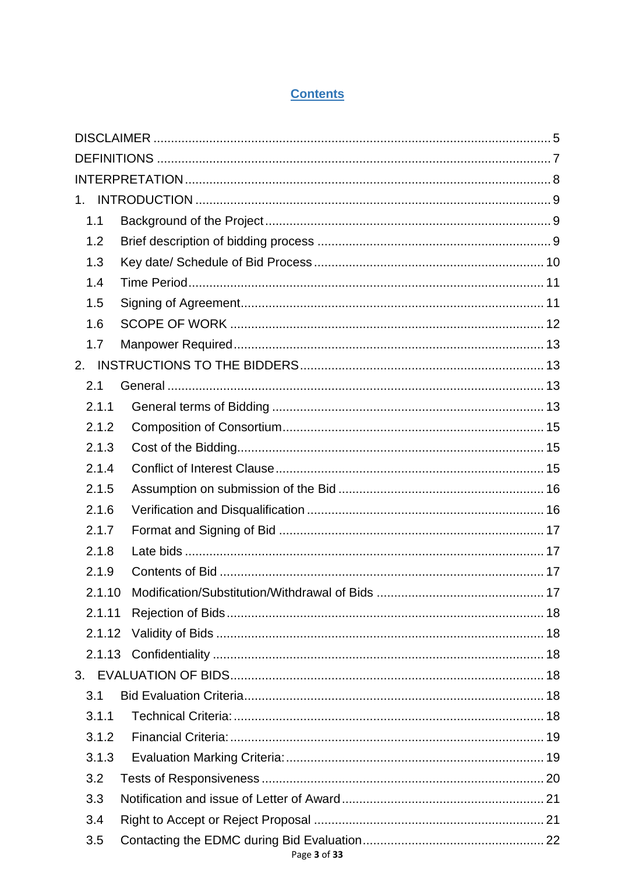#### **Contents**

| $1_{\cdot}$ |  |
|-------------|--|
| 1.1         |  |
| 1.2         |  |
| 1.3         |  |
| 1.4         |  |
| 1.5         |  |
| 1.6         |  |
| 1.7         |  |
| 2.          |  |
| 2.1         |  |
| 2.1.1       |  |
| 2.1.2       |  |
| 2.1.3       |  |
| 2.1.4       |  |
| 2.1.5       |  |
| 2.1.6       |  |
| 2.1.7       |  |
| 2.1.8       |  |
| 2.1.9       |  |
| 2.1.10      |  |
| 2.1.11      |  |
| 2.1.12      |  |
|             |  |
|             |  |
| 3.1         |  |
| 3.1.1       |  |
| 3.1.2       |  |
| 3.1.3       |  |
| 3.2         |  |
| 3.3         |  |
| 3.4         |  |
| 3.5         |  |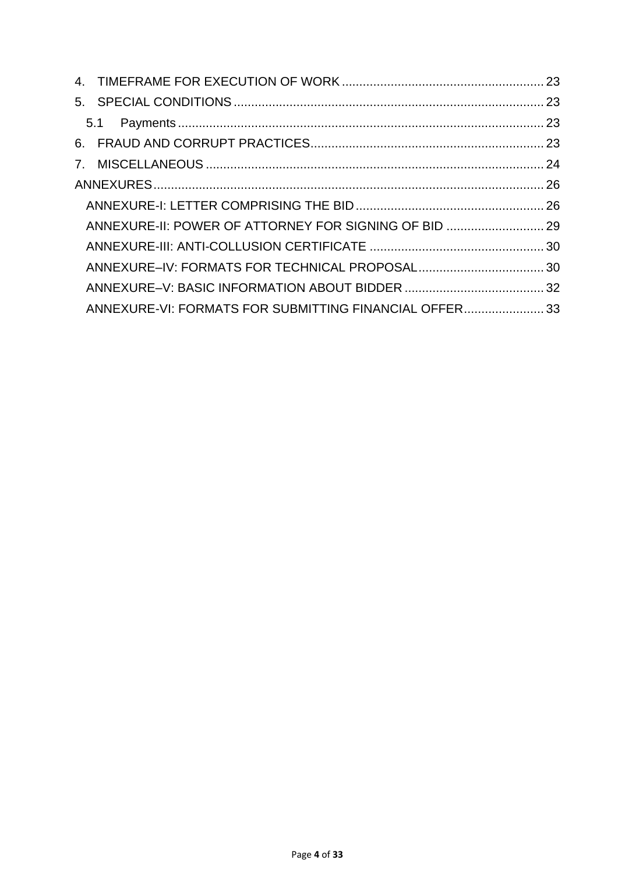| ANNEXURE-II: POWER OF ATTORNEY FOR SIGNING OF BID  29  |  |
|--------------------------------------------------------|--|
|                                                        |  |
|                                                        |  |
|                                                        |  |
| ANNEXURE-VI: FORMATS FOR SUBMITTING FINANCIAL OFFER 33 |  |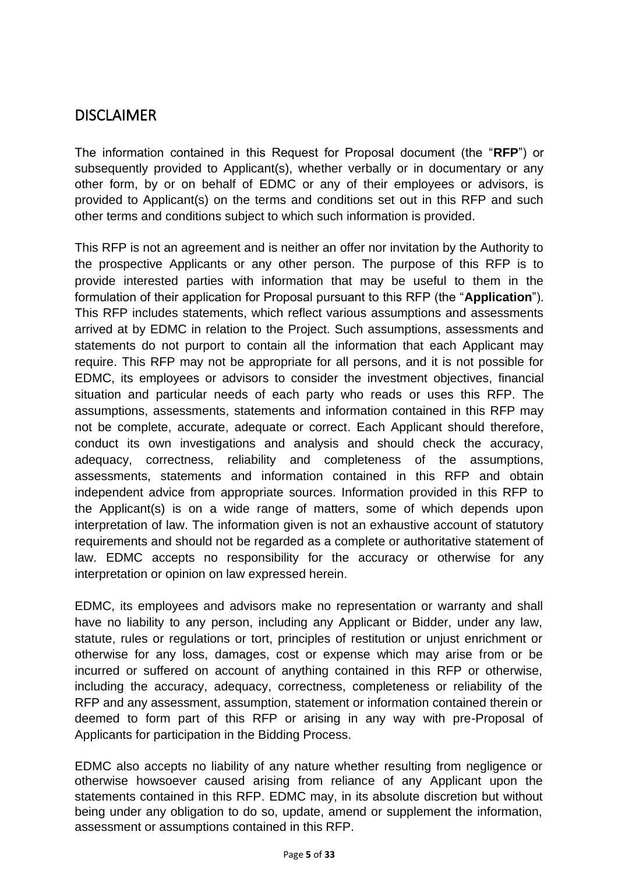## <span id="page-4-0"></span>DISCLAIMER

The information contained in this Request for Proposal document (the "**RFP**") or subsequently provided to Applicant(s), whether verbally or in documentary or any other form, by or on behalf of EDMC or any of their employees or advisors, is provided to Applicant(s) on the terms and conditions set out in this RFP and such other terms and conditions subject to which such information is provided.

This RFP is not an agreement and is neither an offer nor invitation by the Authority to the prospective Applicants or any other person. The purpose of this RFP is to provide interested parties with information that may be useful to them in the formulation of their application for Proposal pursuant to this RFP (the "**Application**"). This RFP includes statements, which reflect various assumptions and assessments arrived at by EDMC in relation to the Project. Such assumptions, assessments and statements do not purport to contain all the information that each Applicant may require. This RFP may not be appropriate for all persons, and it is not possible for EDMC, its employees or advisors to consider the investment objectives, financial situation and particular needs of each party who reads or uses this RFP. The assumptions, assessments, statements and information contained in this RFP may not be complete, accurate, adequate or correct. Each Applicant should therefore, conduct its own investigations and analysis and should check the accuracy, adequacy, correctness, reliability and completeness of the assumptions, assessments, statements and information contained in this RFP and obtain independent advice from appropriate sources. Information provided in this RFP to the Applicant(s) is on a wide range of matters, some of which depends upon interpretation of law. The information given is not an exhaustive account of statutory requirements and should not be regarded as a complete or authoritative statement of law. EDMC accepts no responsibility for the accuracy or otherwise for any interpretation or opinion on law expressed herein.

EDMC, its employees and advisors make no representation or warranty and shall have no liability to any person, including any Applicant or Bidder, under any law, statute, rules or regulations or tort, principles of restitution or unjust enrichment or otherwise for any loss, damages, cost or expense which may arise from or be incurred or suffered on account of anything contained in this RFP or otherwise, including the accuracy, adequacy, correctness, completeness or reliability of the RFP and any assessment, assumption, statement or information contained therein or deemed to form part of this RFP or arising in any way with pre-Proposal of Applicants for participation in the Bidding Process.

EDMC also accepts no liability of any nature whether resulting from negligence or otherwise howsoever caused arising from reliance of any Applicant upon the statements contained in this RFP. EDMC may, in its absolute discretion but without being under any obligation to do so, update, amend or supplement the information, assessment or assumptions contained in this RFP.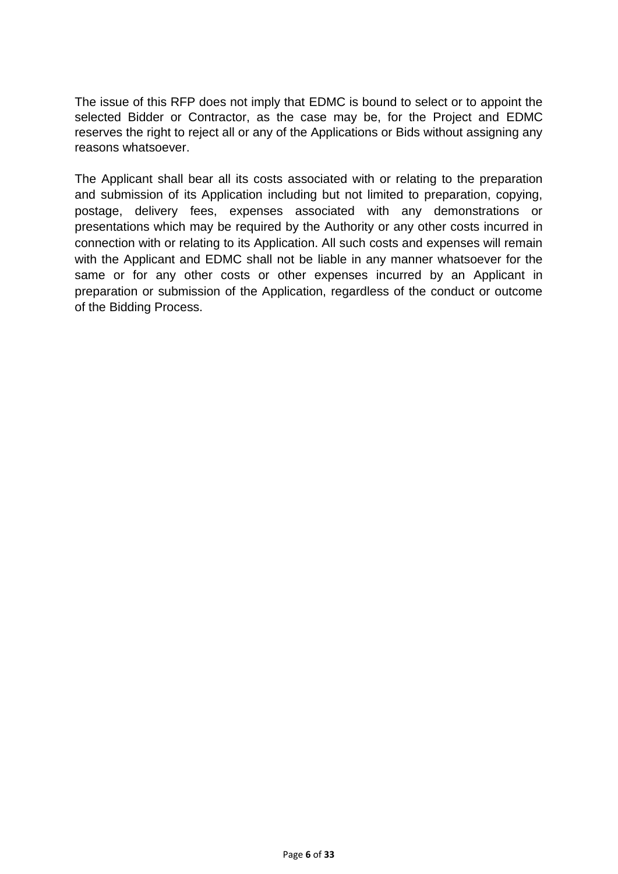The issue of this RFP does not imply that EDMC is bound to select or to appoint the selected Bidder or Contractor, as the case may be, for the Project and EDMC reserves the right to reject all or any of the Applications or Bids without assigning any reasons whatsoever.

The Applicant shall bear all its costs associated with or relating to the preparation and submission of its Application including but not limited to preparation, copying, postage, delivery fees, expenses associated with any demonstrations or presentations which may be required by the Authority or any other costs incurred in connection with or relating to its Application. All such costs and expenses will remain with the Applicant and EDMC shall not be liable in any manner whatsoever for the same or for any other costs or other expenses incurred by an Applicant in preparation or submission of the Application, regardless of the conduct or outcome of the Bidding Process.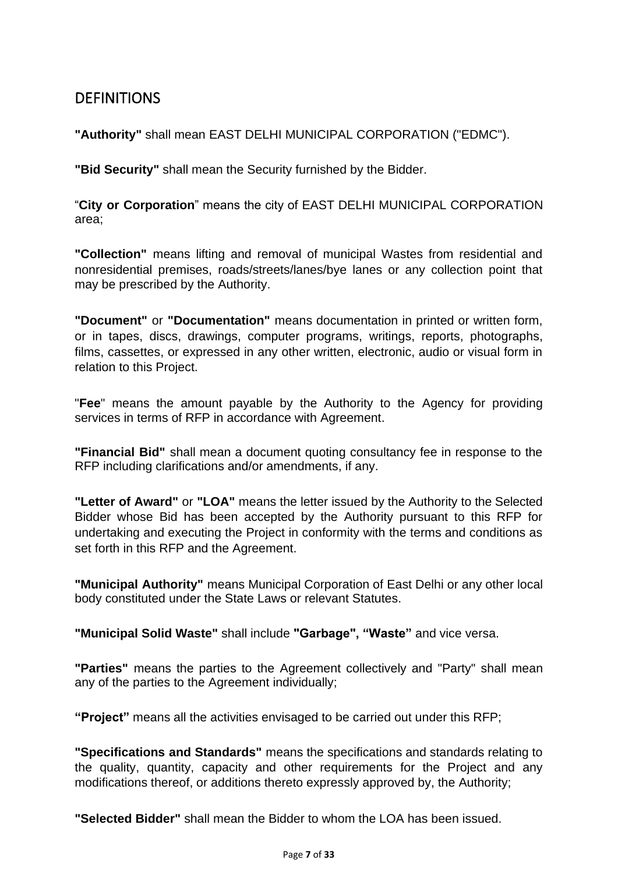## <span id="page-6-0"></span>DEFINITIONS

**"Authority"** shall mean EAST DELHI MUNICIPAL CORPORATION ("EDMC").

**"Bid Security"** shall mean the Security furnished by the Bidder.

"**City or Corporation**" means the city of EAST DELHI MUNICIPAL CORPORATION area;

**"Collection"** means lifting and removal of municipal Wastes from residential and nonresidential premises, roads/streets/lanes/bye lanes or any collection point that may be prescribed by the Authority.

**"Document"** or **"Documentation"** means documentation in printed or written form, or in tapes, discs, drawings, computer programs, writings, reports, photographs, films, cassettes, or expressed in any other written, electronic, audio or visual form in relation to this Project.

"**Fee**" means the amount payable by the Authority to the Agency for providing services in terms of RFP in accordance with Agreement.

**"Financial Bid"** shall mean a document quoting consultancy fee in response to the RFP including clarifications and/or amendments, if any.

**"Letter of Award"** or **"LOA"** means the letter issued by the Authority to the Selected Bidder whose Bid has been accepted by the Authority pursuant to this RFP for undertaking and executing the Project in conformity with the terms and conditions as set forth in this RFP and the Agreement.

**"Municipal Authority"** means Municipal Corporation of East Delhi or any other local body constituted under the State Laws or relevant Statutes.

**"Municipal Solid Waste"** shall include **"Garbage", "Waste"** and vice versa.

**"Parties"** means the parties to the Agreement collectively and "Party" shall mean any of the parties to the Agreement individually;

**"Project"** means all the activities envisaged to be carried out under this RFP;

**"Specifications and Standards"** means the specifications and standards relating to the quality, quantity, capacity and other requirements for the Project and any modifications thereof, or additions thereto expressly approved by, the Authority;

**"Selected Bidder"** shall mean the Bidder to whom the LOA has been issued.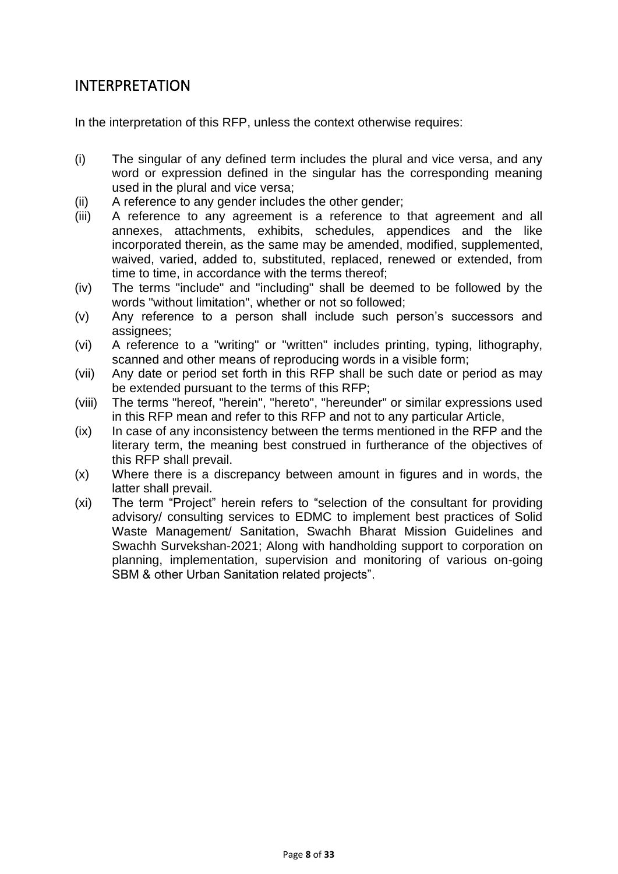### <span id="page-7-0"></span>INTERPRETATION

In the interpretation of this RFP, unless the context otherwise requires:

- (i) The singular of any defined term includes the plural and vice versa, and any word or expression defined in the singular has the corresponding meaning used in the plural and vice versa;
- (ii) A reference to any gender includes the other gender;
- (iii) A reference to any agreement is a reference to that agreement and all annexes, attachments, exhibits, schedules, appendices and the like incorporated therein, as the same may be amended, modified, supplemented, waived, varied, added to, substituted, replaced, renewed or extended, from time to time, in accordance with the terms thereof;
- (iv) The terms "include" and "including" shall be deemed to be followed by the words "without limitation", whether or not so followed;
- (v) Any reference to a person shall include such person's successors and assignees;
- (vi) A reference to a "writing" or "written" includes printing, typing, lithography, scanned and other means of reproducing words in a visible form;
- (vii) Any date or period set forth in this RFP shall be such date or period as may be extended pursuant to the terms of this RFP;
- (viii) The terms "hereof, "herein", "hereto", "hereunder" or similar expressions used in this RFP mean and refer to this RFP and not to any particular Article,
- (ix) In case of any inconsistency between the terms mentioned in the RFP and the literary term, the meaning best construed in furtherance of the objectives of this RFP shall prevail.
- (x) Where there is a discrepancy between amount in figures and in words, the latter shall prevail.
- (xi) The term "Project" herein refers to "selection of the consultant for providing advisory/ consulting services to EDMC to implement best practices of Solid Waste Management/ Sanitation, Swachh Bharat Mission Guidelines and Swachh Survekshan-2021; Along with handholding support to corporation on planning, implementation, supervision and monitoring of various on-going SBM & other Urban Sanitation related projects".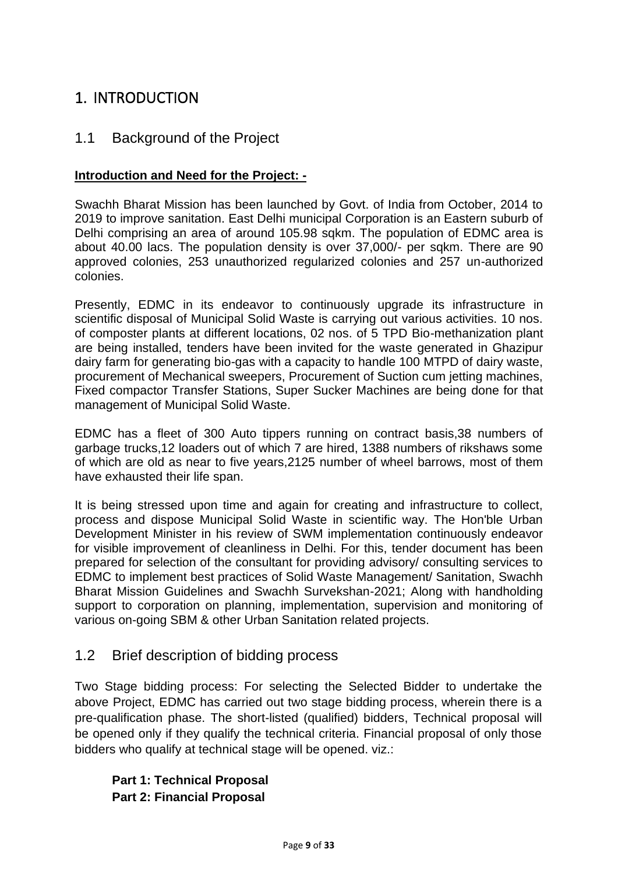## <span id="page-8-0"></span>1. INTRODUCTION

#### <span id="page-8-1"></span>1.1 Background of the Project

#### **Introduction and Need for the Project: -**

Swachh Bharat Mission has been launched by Govt. of India from October, 2014 to 2019 to improve sanitation. East Delhi municipal Corporation is an Eastern suburb of Delhi comprising an area of around 105.98 sqkm. The population of EDMC area is about 40.00 lacs. The population density is over 37,000/- per sqkm. There are 90 approved colonies, 253 unauthorized regularized colonies and 257 un-authorized colonies.

Presently, EDMC in its endeavor to continuously upgrade its infrastructure in scientific disposal of Municipal Solid Waste is carrying out various activities. 10 nos. of composter plants at different locations, 02 nos. of 5 TPD Bio-methanization plant are being installed, tenders have been invited for the waste generated in Ghazipur dairy farm for generating bio-gas with a capacity to handle 100 MTPD of dairy waste, procurement of Mechanical sweepers, Procurement of Suction cum jetting machines, Fixed compactor Transfer Stations, Super Sucker Machines are being done for that management of Municipal Solid Waste.

EDMC has a fleet of 300 Auto tippers running on contract basis,38 numbers of garbage trucks,12 loaders out of which 7 are hired, 1388 numbers of rikshaws some of which are old as near to five years,2125 number of wheel barrows, most of them have exhausted their life span.

It is being stressed upon time and again for creating and infrastructure to collect, process and dispose Municipal Solid Waste in scientific way. The Hon'ble Urban Development Minister in his review of SWM implementation continuously endeavor for visible improvement of cleanliness in Delhi. For this, tender document has been prepared for selection of the consultant for providing advisory/ consulting services to EDMC to implement best practices of Solid Waste Management/ Sanitation, Swachh Bharat Mission Guidelines and Swachh Survekshan-2021; Along with handholding support to corporation on planning, implementation, supervision and monitoring of various on-going SBM & other Urban Sanitation related projects.

#### <span id="page-8-2"></span>1.2 Brief description of bidding process

Two Stage bidding process: For selecting the Selected Bidder to undertake the above Project, EDMC has carried out two stage bidding process, wherein there is a pre-qualification phase. The short-listed (qualified) bidders, Technical proposal will be opened only if they qualify the technical criteria. Financial proposal of only those bidders who qualify at technical stage will be opened. viz.:

#### **Part 1: Technical Proposal Part 2: Financial Proposal**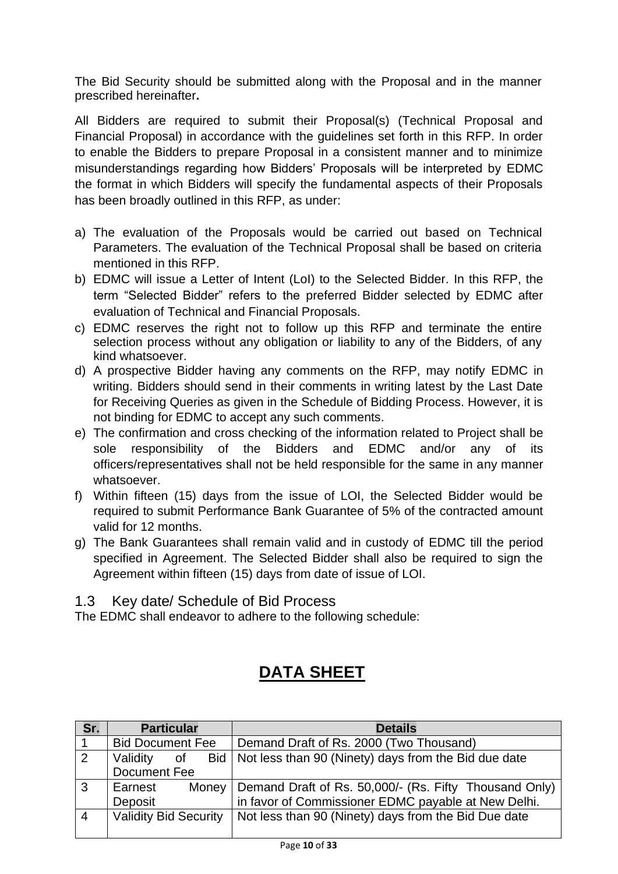The Bid Security should be submitted along with the Proposal and in the manner prescribed hereinafter**.**

All Bidders are required to submit their Proposal(s) (Technical Proposal and Financial Proposal) in accordance with the guidelines set forth in this RFP. In order to enable the Bidders to prepare Proposal in a consistent manner and to minimize misunderstandings regarding how Bidders' Proposals will be interpreted by EDMC the format in which Bidders will specify the fundamental aspects of their Proposals has been broadly outlined in this RFP, as under:

- a) The evaluation of the Proposals would be carried out based on Technical Parameters. The evaluation of the Technical Proposal shall be based on criteria mentioned in this RFP.
- b) EDMC will issue a Letter of Intent (LoI) to the Selected Bidder. In this RFP, the term "Selected Bidder" refers to the preferred Bidder selected by EDMC after evaluation of Technical and Financial Proposals.
- c) EDMC reserves the right not to follow up this RFP and terminate the entire selection process without any obligation or liability to any of the Bidders, of any kind whatsoever.
- d) A prospective Bidder having any comments on the RFP, may notify EDMC in writing. Bidders should send in their comments in writing latest by the Last Date for Receiving Queries as given in the Schedule of Bidding Process. However, it is not binding for EDMC to accept any such comments.
- e) The confirmation and cross checking of the information related to Project shall be sole responsibility of the Bidders and EDMC and/or any of its officers/representatives shall not be held responsible for the same in any manner whatsoever.
- f) Within fifteen (15) days from the issue of LOI, the Selected Bidder would be required to submit Performance Bank Guarantee of 5% of the contracted amount valid for 12 months.
- g) The Bank Guarantees shall remain valid and in custody of EDMC till the period specified in Agreement. The Selected Bidder shall also be required to sign the Agreement within fifteen (15) days from date of issue of LOI.

<span id="page-9-0"></span>1.3 Key date/ Schedule of Bid Process

The EDMC shall endeavor to adhere to the following schedule:

# **DATA SHEET**

| Sr.            | <b>Particular</b>            |       | <b>Details</b>                                                                                             |  |
|----------------|------------------------------|-------|------------------------------------------------------------------------------------------------------------|--|
|                | <b>Bid Document Fee</b>      |       | Demand Draft of Rs. 2000 (Two Thousand)                                                                    |  |
| 2              | Validity<br>οf               | Bid I | Not less than 90 (Ninety) days from the Bid due date                                                       |  |
|                | Document Fee                 |       |                                                                                                            |  |
| 3              | Earnest<br>Money             |       |                                                                                                            |  |
|                | Deposit                      |       | Demand Draft of Rs. 50,000/- (Rs. Fifty Thousand Only) in favor of Commissioner EDMC payable at New Delhi. |  |
| $\overline{4}$ | <b>Validity Bid Security</b> |       | Not less than 90 (Ninety) days from the Bid Due date                                                       |  |
|                |                              |       |                                                                                                            |  |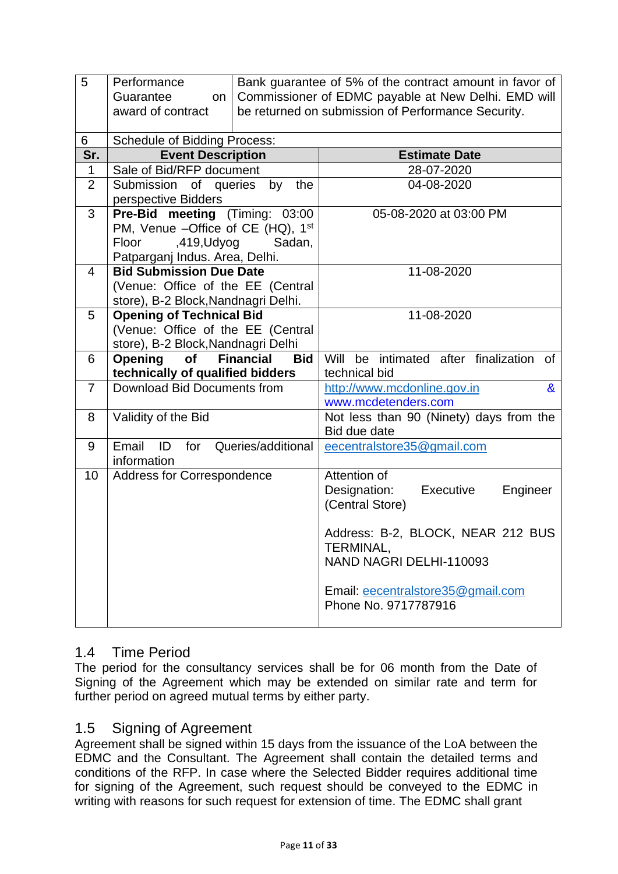| 5              | Performance<br>Guarantee<br>on<br>award of contract                    | Bank guarantee of 5% of the contract amount in favor of<br>Commissioner of EDMC payable at New Delhi. EMD will<br>be returned on submission of Performance Security. |                                                   |  |  |
|----------------|------------------------------------------------------------------------|----------------------------------------------------------------------------------------------------------------------------------------------------------------------|---------------------------------------------------|--|--|
| 6              | <b>Schedule of Bidding Process:</b>                                    |                                                                                                                                                                      |                                                   |  |  |
| Sr.            | <b>Event Description</b>                                               |                                                                                                                                                                      | <b>Estimate Date</b>                              |  |  |
| 1              | Sale of Bid/RFP document                                               |                                                                                                                                                                      | 28-07-2020                                        |  |  |
| $\overline{2}$ | Submission of queries                                                  | by<br>the                                                                                                                                                            | 04-08-2020                                        |  |  |
|                | perspective Bidders                                                    |                                                                                                                                                                      |                                                   |  |  |
| 3              | Pre-Bid meeting (Timing: 03:00                                         |                                                                                                                                                                      | 05-08-2020 at 03:00 PM                            |  |  |
|                | PM, Venue -Office of CE (HQ), 1st                                      |                                                                                                                                                                      |                                                   |  |  |
|                | ,419,Udyog<br>Floor                                                    | Sadan,                                                                                                                                                               |                                                   |  |  |
|                | Patparganj Indus. Area, Delhi.                                         |                                                                                                                                                                      |                                                   |  |  |
| 4              | <b>Bid Submission Due Date</b>                                         |                                                                                                                                                                      | 11-08-2020                                        |  |  |
|                | (Venue: Office of the EE (Central                                      |                                                                                                                                                                      |                                                   |  |  |
|                | store), B-2 Block, Nandnagri Delhi.<br><b>Opening of Technical Bid</b> |                                                                                                                                                                      | 11-08-2020                                        |  |  |
| 5              | (Venue: Office of the EE (Central                                      |                                                                                                                                                                      |                                                   |  |  |
|                | store), B-2 Block, Nandnagri Delhi                                     |                                                                                                                                                                      |                                                   |  |  |
| 6              | Opening<br>of                                                          | <b>Financial</b><br><b>Bid</b>                                                                                                                                       | Will be intimated after finalization<br><b>of</b> |  |  |
|                | technically of qualified bidders                                       |                                                                                                                                                                      | technical bid                                     |  |  |
| $\overline{7}$ | Download Bid Documents from                                            |                                                                                                                                                                      | http://www.mcdonline.gov.in<br>&                  |  |  |
|                |                                                                        |                                                                                                                                                                      | www.mcdetenders.com                               |  |  |
| 8              | Validity of the Bid                                                    |                                                                                                                                                                      | Not less than 90 (Ninety) days from the           |  |  |
|                |                                                                        |                                                                                                                                                                      | Bid due date                                      |  |  |
| 9              | Email<br>ID<br>for                                                     | Queries/additional                                                                                                                                                   | eecentralstore35@gmail.com                        |  |  |
|                | information                                                            |                                                                                                                                                                      |                                                   |  |  |
| 10             | <b>Address for Correspondence</b>                                      |                                                                                                                                                                      | Attention of                                      |  |  |
|                |                                                                        |                                                                                                                                                                      | Designation:<br>Executive<br>Engineer             |  |  |
|                |                                                                        |                                                                                                                                                                      | (Central Store)                                   |  |  |
|                |                                                                        |                                                                                                                                                                      |                                                   |  |  |
|                |                                                                        |                                                                                                                                                                      | Address: B-2, BLOCK, NEAR 212 BUS<br>TERMINAL,    |  |  |
|                |                                                                        |                                                                                                                                                                      | NAND NAGRI DELHI-110093                           |  |  |
|                |                                                                        |                                                                                                                                                                      |                                                   |  |  |
|                |                                                                        |                                                                                                                                                                      | Email: eecentralstore35@gmail.com                 |  |  |
|                |                                                                        | Phone No. 9717787916                                                                                                                                                 |                                                   |  |  |
|                |                                                                        |                                                                                                                                                                      |                                                   |  |  |

#### <span id="page-10-0"></span>1.4 Time Period

The period for the consultancy services shall be for 06 month from the Date of Signing of the Agreement which may be extended on similar rate and term for further period on agreed mutual terms by either party.

#### <span id="page-10-1"></span>1.5 Signing of Agreement

Agreement shall be signed within 15 days from the issuance of the LoA between the EDMC and the Consultant. The Agreement shall contain the detailed terms and conditions of the RFP. In case where the Selected Bidder requires additional time for signing of the Agreement, such request should be conveyed to the EDMC in writing with reasons for such request for extension of time. The EDMC shall grant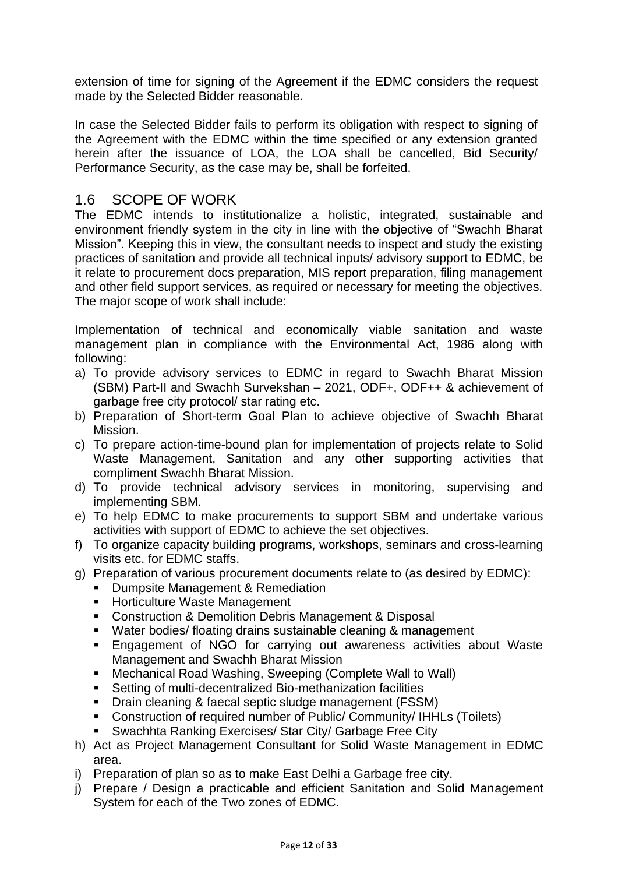extension of time for signing of the Agreement if the EDMC considers the request made by the Selected Bidder reasonable.

In case the Selected Bidder fails to perform its obligation with respect to signing of the Agreement with the EDMC within the time specified or any extension granted herein after the issuance of LOA, the LOA shall be cancelled, Bid Security/ Performance Security, as the case may be, shall be forfeited.

#### <span id="page-11-0"></span>1.6 SCOPE OF WORK

The EDMC intends to institutionalize a holistic, integrated, sustainable and environment friendly system in the city in line with the objective of "Swachh Bharat Mission". Keeping this in view, the consultant needs to inspect and study the existing practices of sanitation and provide all technical inputs/ advisory support to EDMC, be it relate to procurement docs preparation, MIS report preparation, filing management and other field support services, as required or necessary for meeting the objectives. The major scope of work shall include:

Implementation of technical and economically viable sanitation and waste management plan in compliance with the Environmental Act, 1986 along with following:

- a) To provide advisory services to EDMC in regard to Swachh Bharat Mission (SBM) Part-II and Swachh Survekshan – 2021, ODF+, ODF++ & achievement of garbage free city protocol/ star rating etc.
- b) Preparation of Short-term Goal Plan to achieve objective of Swachh Bharat Mission.
- c) To prepare action-time-bound plan for implementation of projects relate to Solid Waste Management, Sanitation and any other supporting activities that compliment Swachh Bharat Mission.
- d) To provide technical advisory services in monitoring, supervising and implementing SBM.
- e) To help EDMC to make procurements to support SBM and undertake various activities with support of EDMC to achieve the set objectives.
- f) To organize capacity building programs, workshops, seminars and cross-learning visits etc. for EDMC staffs.
- g) Preparation of various procurement documents relate to (as desired by EDMC):
	- Dumpsite Management & Remediation
	- Horticulture Waste Management
	- Construction & Demolition Debris Management & Disposal
	- Water bodies/ floating drains sustainable cleaning & management
	- Engagement of NGO for carrying out awareness activities about Waste Management and Swachh Bharat Mission
	- Mechanical Road Washing, Sweeping (Complete Wall to Wall)
	- Setting of multi-decentralized Bio-methanization facilities
	- Drain cleaning & faecal septic sludge management (FSSM)
	- Construction of required number of Public/ Community/ IHHLs (Toilets)
	- Swachhta Ranking Exercises/ Star City/ Garbage Free City
- h) Act as Project Management Consultant for Solid Waste Management in EDMC area.
- i) Preparation of plan so as to make East Delhi a Garbage free city.
- j) Prepare / Design a practicable and efficient Sanitation and Solid Management System for each of the Two zones of EDMC.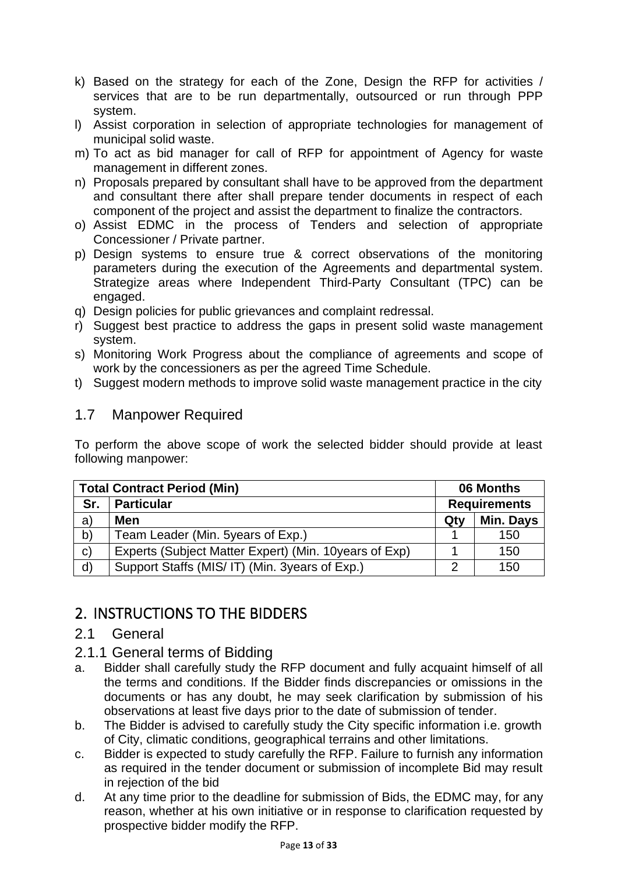- k) Based on the strategy for each of the Zone, Design the RFP for activities / services that are to be run departmentally, outsourced or run through PPP system.
- l) Assist corporation in selection of appropriate technologies for management of municipal solid waste.
- m) To act as bid manager for call of RFP for appointment of Agency for waste management in different zones.
- n) Proposals prepared by consultant shall have to be approved from the department and consultant there after shall prepare tender documents in respect of each component of the project and assist the department to finalize the contractors.
- o) Assist EDMC in the process of Tenders and selection of appropriate Concessioner / Private partner.
- p) Design systems to ensure true & correct observations of the monitoring parameters during the execution of the Agreements and departmental system. Strategize areas where Independent Third-Party Consultant (TPC) can be engaged.
- q) Design policies for public grievances and complaint redressal.
- r) Suggest best practice to address the gaps in present solid waste management system.
- s) Monitoring Work Progress about the compliance of agreements and scope of work by the concessioners as per the agreed Time Schedule.
- t) Suggest modern methods to improve solid waste management practice in the city

#### <span id="page-12-0"></span>1.7 Manpower Required

To perform the above scope of work the selected bidder should provide at least following manpower:

| <b>Total Contract Period (Min)</b> |                                                       |     | 06 Months           |  |
|------------------------------------|-------------------------------------------------------|-----|---------------------|--|
| Sr.                                | <b>Particular</b>                                     |     | <b>Requirements</b> |  |
| a)                                 | Men                                                   | Qty | Min. Days           |  |
| b)                                 | Team Leader (Min. 5years of Exp.)                     |     | 150                 |  |
| $\mathsf{C}$                       | Experts (Subject Matter Expert) (Min. 10years of Exp) |     | 150                 |  |
| d)                                 | Support Staffs (MIS/IT) (Min. 3years of Exp.)         | ົ   | 150                 |  |

## <span id="page-12-1"></span>2. INSTRUCTIONS TO THE BIDDERS

#### <span id="page-12-2"></span>2.1 General

- <span id="page-12-3"></span>2.1.1 General terms of Bidding
- a. Bidder shall carefully study the RFP document and fully acquaint himself of all the terms and conditions. If the Bidder finds discrepancies or omissions in the documents or has any doubt, he may seek clarification by submission of his observations at least five days prior to the date of submission of tender.
- b. The Bidder is advised to carefully study the City specific information i.e. growth of City, climatic conditions, geographical terrains and other limitations.
- c. Bidder is expected to study carefully the RFP. Failure to furnish any information as required in the tender document or submission of incomplete Bid may result in rejection of the bid
- d. At any time prior to the deadline for submission of Bids, the EDMC may, for any reason, whether at his own initiative or in response to clarification requested by prospective bidder modify the RFP.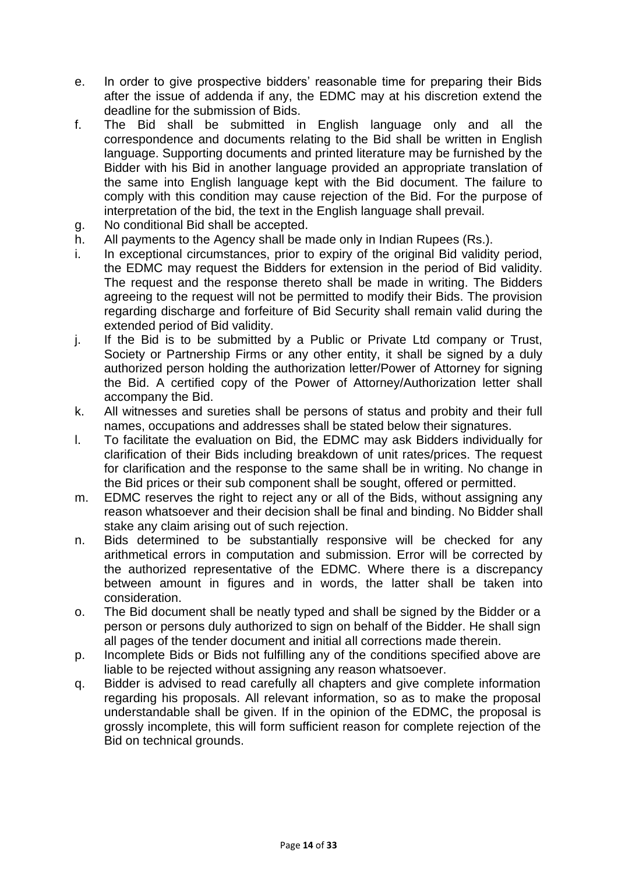- e. In order to give prospective bidders' reasonable time for preparing their Bids after the issue of addenda if any, the EDMC may at his discretion extend the deadline for the submission of Bids.
- f. The Bid shall be submitted in English language only and all the correspondence and documents relating to the Bid shall be written in English language. Supporting documents and printed literature may be furnished by the Bidder with his Bid in another language provided an appropriate translation of the same into English language kept with the Bid document. The failure to comply with this condition may cause rejection of the Bid. For the purpose of interpretation of the bid, the text in the English language shall prevail.
- g. No conditional Bid shall be accepted.
- h. All payments to the Agency shall be made only in Indian Rupees (Rs.).
- i. In exceptional circumstances, prior to expiry of the original Bid validity period, the EDMC may request the Bidders for extension in the period of Bid validity. The request and the response thereto shall be made in writing. The Bidders agreeing to the request will not be permitted to modify their Bids. The provision regarding discharge and forfeiture of Bid Security shall remain valid during the extended period of Bid validity.
- j. If the Bid is to be submitted by a Public or Private Ltd company or Trust, Society or Partnership Firms or any other entity, it shall be signed by a duly authorized person holding the authorization letter/Power of Attorney for signing the Bid. A certified copy of the Power of Attorney/Authorization letter shall accompany the Bid.
- k. All witnesses and sureties shall be persons of status and probity and their full names, occupations and addresses shall be stated below their signatures.
- l. To facilitate the evaluation on Bid, the EDMC may ask Bidders individually for clarification of their Bids including breakdown of unit rates/prices. The request for clarification and the response to the same shall be in writing. No change in the Bid prices or their sub component shall be sought, offered or permitted.
- m. EDMC reserves the right to reject any or all of the Bids, without assigning any reason whatsoever and their decision shall be final and binding. No Bidder shall stake any claim arising out of such rejection.
- n. Bids determined to be substantially responsive will be checked for any arithmetical errors in computation and submission. Error will be corrected by the authorized representative of the EDMC. Where there is a discrepancy between amount in figures and in words, the latter shall be taken into consideration.
- o. The Bid document shall be neatly typed and shall be signed by the Bidder or a person or persons duly authorized to sign on behalf of the Bidder. He shall sign all pages of the tender document and initial all corrections made therein.
- p. Incomplete Bids or Bids not fulfilling any of the conditions specified above are liable to be rejected without assigning any reason whatsoever.
- q. Bidder is advised to read carefully all chapters and give complete information regarding his proposals. All relevant information, so as to make the proposal understandable shall be given. If in the opinion of the EDMC, the proposal is grossly incomplete, this will form sufficient reason for complete rejection of the Bid on technical grounds.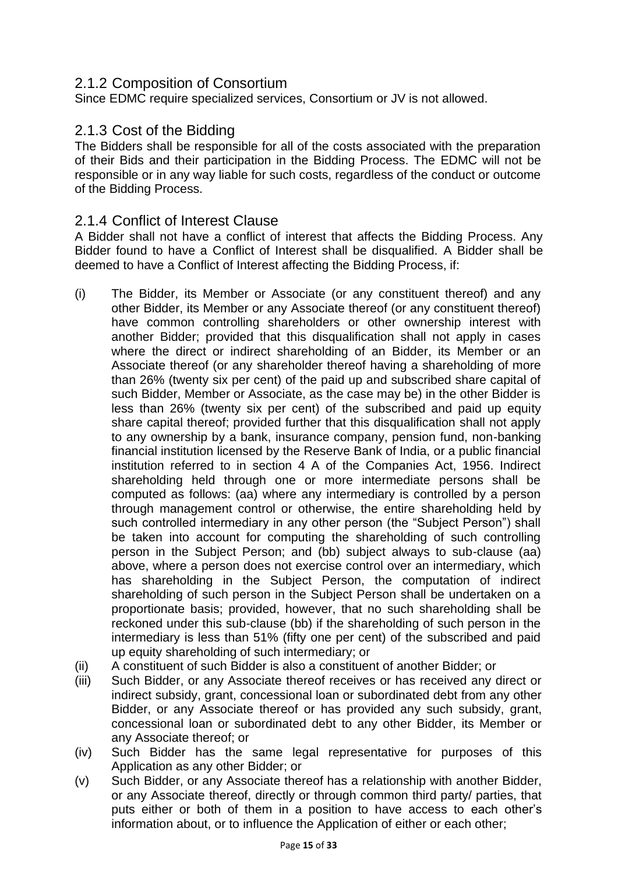#### <span id="page-14-0"></span>2.1.2 Composition of Consortium

Since EDMC require specialized services, Consortium or JV is not allowed.

#### <span id="page-14-1"></span>2.1.3 Cost of the Bidding

The Bidders shall be responsible for all of the costs associated with the preparation of their Bids and their participation in the Bidding Process. The EDMC will not be responsible or in any way liable for such costs, regardless of the conduct or outcome of the Bidding Process.

#### <span id="page-14-2"></span>2.1.4 Conflict of Interest Clause

A Bidder shall not have a conflict of interest that affects the Bidding Process. Any Bidder found to have a Conflict of Interest shall be disqualified. A Bidder shall be deemed to have a Conflict of Interest affecting the Bidding Process, if:

- (i) The Bidder, its Member or Associate (or any constituent thereof) and any other Bidder, its Member or any Associate thereof (or any constituent thereof) have common controlling shareholders or other ownership interest with another Bidder; provided that this disqualification shall not apply in cases where the direct or indirect shareholding of an Bidder, its Member or an Associate thereof (or any shareholder thereof having a shareholding of more than 26% (twenty six per cent) of the paid up and subscribed share capital of such Bidder, Member or Associate, as the case may be) in the other Bidder is less than 26% (twenty six per cent) of the subscribed and paid up equity share capital thereof; provided further that this disqualification shall not apply to any ownership by a bank, insurance company, pension fund, non-banking financial institution licensed by the Reserve Bank of India, or a public financial institution referred to in section 4 A of the Companies Act, 1956. Indirect shareholding held through one or more intermediate persons shall be computed as follows: (aa) where any intermediary is controlled by a person through management control or otherwise, the entire shareholding held by such controlled intermediary in any other person (the "Subject Person") shall be taken into account for computing the shareholding of such controlling person in the Subject Person; and (bb) subject always to sub-clause (aa) above, where a person does not exercise control over an intermediary, which has shareholding in the Subject Person, the computation of indirect shareholding of such person in the Subject Person shall be undertaken on a proportionate basis; provided, however, that no such shareholding shall be reckoned under this sub-clause (bb) if the shareholding of such person in the intermediary is less than 51% (fifty one per cent) of the subscribed and paid up equity shareholding of such intermediary; or
- (ii) A constituent of such Bidder is also a constituent of another Bidder; or
- (iii) Such Bidder, or any Associate thereof receives or has received any direct or indirect subsidy, grant, concessional loan or subordinated debt from any other Bidder, or any Associate thereof or has provided any such subsidy, grant, concessional loan or subordinated debt to any other Bidder, its Member or any Associate thereof; or
- (iv) Such Bidder has the same legal representative for purposes of this Application as any other Bidder; or
- (v) Such Bidder, or any Associate thereof has a relationship with another Bidder, or any Associate thereof, directly or through common third party/ parties, that puts either or both of them in a position to have access to each other's information about, or to influence the Application of either or each other;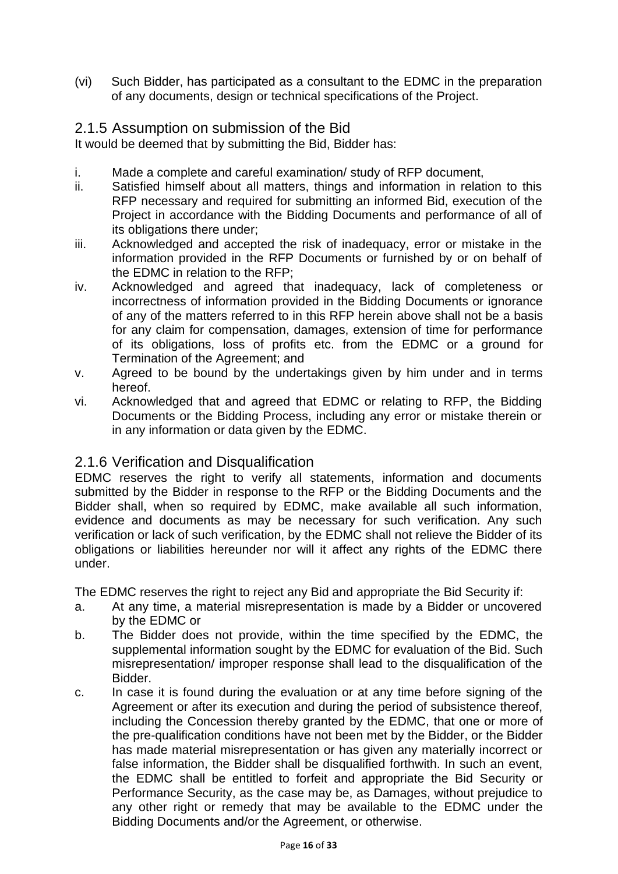(vi) Such Bidder, has participated as a consultant to the EDMC in the preparation of any documents, design or technical specifications of the Project.

#### <span id="page-15-0"></span>2.1.5 Assumption on submission of the Bid

It would be deemed that by submitting the Bid, Bidder has:

- i. Made a complete and careful examination/ study of RFP document,
- ii. Satisfied himself about all matters, things and information in relation to this RFP necessary and required for submitting an informed Bid, execution of the Project in accordance with the Bidding Documents and performance of all of its obligations there under;
- iii. Acknowledged and accepted the risk of inadequacy, error or mistake in the information provided in the RFP Documents or furnished by or on behalf of the EDMC in relation to the RFP;
- iv. Acknowledged and agreed that inadequacy, lack of completeness or incorrectness of information provided in the Bidding Documents or ignorance of any of the matters referred to in this RFP herein above shall not be a basis for any claim for compensation, damages, extension of time for performance of its obligations, loss of profits etc. from the EDMC or a ground for Termination of the Agreement; and
- v. Agreed to be bound by the undertakings given by him under and in terms hereof.
- vi. Acknowledged that and agreed that EDMC or relating to RFP, the Bidding Documents or the Bidding Process, including any error or mistake therein or in any information or data given by the EDMC.

### <span id="page-15-1"></span>2.1.6 Verification and Disqualification

EDMC reserves the right to verify all statements, information and documents submitted by the Bidder in response to the RFP or the Bidding Documents and the Bidder shall, when so required by EDMC, make available all such information, evidence and documents as may be necessary for such verification. Any such verification or lack of such verification, by the EDMC shall not relieve the Bidder of its obligations or liabilities hereunder nor will it affect any rights of the EDMC there under.

The EDMC reserves the right to reject any Bid and appropriate the Bid Security if:

- a. At any time, a material misrepresentation is made by a Bidder or uncovered by the EDMC or
- b. The Bidder does not provide, within the time specified by the EDMC, the supplemental information sought by the EDMC for evaluation of the Bid. Such misrepresentation/ improper response shall lead to the disqualification of the Bidder.
- c. In case it is found during the evaluation or at any time before signing of the Agreement or after its execution and during the period of subsistence thereof, including the Concession thereby granted by the EDMC, that one or more of the pre-qualification conditions have not been met by the Bidder, or the Bidder has made material misrepresentation or has given any materially incorrect or false information, the Bidder shall be disqualified forthwith. In such an event, the EDMC shall be entitled to forfeit and appropriate the Bid Security or Performance Security, as the case may be, as Damages, without prejudice to any other right or remedy that may be available to the EDMC under the Bidding Documents and/or the Agreement, or otherwise.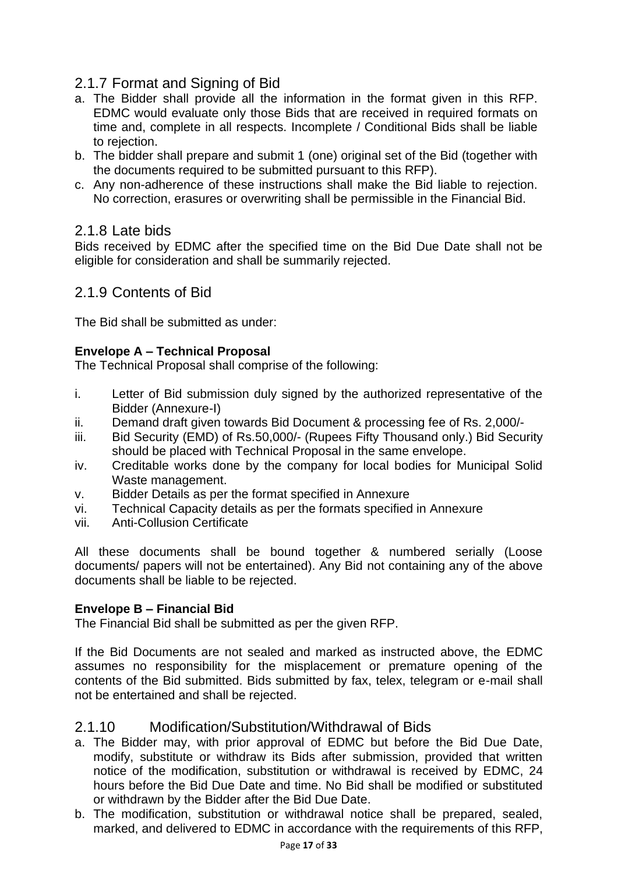### <span id="page-16-0"></span>2.1.7 Format and Signing of Bid

- a. The Bidder shall provide all the information in the format given in this RFP. EDMC would evaluate only those Bids that are received in required formats on time and, complete in all respects. Incomplete / Conditional Bids shall be liable to rejection.
- b. The bidder shall prepare and submit 1 (one) original set of the Bid (together with the documents required to be submitted pursuant to this RFP).
- c. Any non-adherence of these instructions shall make the Bid liable to rejection. No correction, erasures or overwriting shall be permissible in the Financial Bid.

#### <span id="page-16-1"></span>2.1.8 Late bids

Bids received by EDMC after the specified time on the Bid Due Date shall not be eligible for consideration and shall be summarily rejected.

#### <span id="page-16-2"></span>2.1.9 Contents of Bid

The Bid shall be submitted as under:

#### **Envelope A – Technical Proposal**

The Technical Proposal shall comprise of the following:

- i. Letter of Bid submission duly signed by the authorized representative of the Bidder (Annexure-I)
- ii. Demand draft given towards Bid Document & processing fee of Rs. 2,000/-
- iii. Bid Security (EMD) of Rs.50,000/- (Rupees Fifty Thousand only.) Bid Security should be placed with Technical Proposal in the same envelope.
- iv. Creditable works done by the company for local bodies for Municipal Solid Waste management.
- v. Bidder Details as per the format specified in Annexure
- vi. Technical Capacity details as per the formats specified in Annexure
- vii. Anti-Collusion Certificate

All these documents shall be bound together & numbered serially (Loose documents/ papers will not be entertained). Any Bid not containing any of the above documents shall be liable to be rejected.

#### **Envelope B – Financial Bid**

The Financial Bid shall be submitted as per the given RFP.

If the Bid Documents are not sealed and marked as instructed above, the EDMC assumes no responsibility for the misplacement or premature opening of the contents of the Bid submitted. Bids submitted by fax, telex, telegram or e-mail shall not be entertained and shall be rejected.

#### <span id="page-16-3"></span>2.1.10 Modification/Substitution/Withdrawal of Bids

- a. The Bidder may, with prior approval of EDMC but before the Bid Due Date, modify, substitute or withdraw its Bids after submission, provided that written notice of the modification, substitution or withdrawal is received by EDMC, 24 hours before the Bid Due Date and time. No Bid shall be modified or substituted or withdrawn by the Bidder after the Bid Due Date.
- b. The modification, substitution or withdrawal notice shall be prepared, sealed, marked, and delivered to EDMC in accordance with the requirements of this RFP,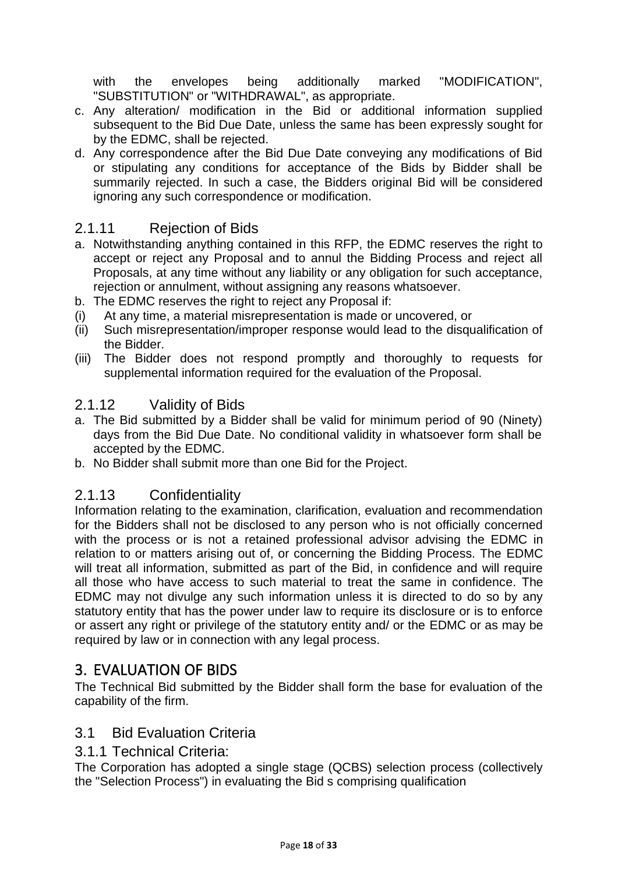with the envelopes being additionally marked "MODIFICATION", "SUBSTITUTION" or "WITHDRAWAL", as appropriate.

- c. Any alteration/ modification in the Bid or additional information supplied subsequent to the Bid Due Date, unless the same has been expressly sought for by the EDMC, shall be rejected.
- d. Any correspondence after the Bid Due Date conveying any modifications of Bid or stipulating any conditions for acceptance of the Bids by Bidder shall be summarily rejected. In such a case, the Bidders original Bid will be considered ignoring any such correspondence or modification.

#### <span id="page-17-0"></span>2.1.11 Rejection of Bids

- a. Notwithstanding anything contained in this RFP, the EDMC reserves the right to accept or reject any Proposal and to annul the Bidding Process and reject all Proposals, at any time without any liability or any obligation for such acceptance, rejection or annulment, without assigning any reasons whatsoever.
- b. The EDMC reserves the right to reject any Proposal if:
- (i) At any time, a material misrepresentation is made or uncovered, or
- (ii) Such misrepresentation/improper response would lead to the disqualification of the Bidder.
- (iii) The Bidder does not respond promptly and thoroughly to requests for supplemental information required for the evaluation of the Proposal.

#### <span id="page-17-1"></span>2.1.12 Validity of Bids

- a. The Bid submitted by a Bidder shall be valid for minimum period of 90 (Ninety) days from the Bid Due Date. No conditional validity in whatsoever form shall be accepted by the EDMC.
- b. No Bidder shall submit more than one Bid for the Project.

#### <span id="page-17-2"></span>2.1.13 Confidentiality

Information relating to the examination, clarification, evaluation and recommendation for the Bidders shall not be disclosed to any person who is not officially concerned with the process or is not a retained professional advisor advising the EDMC in relation to or matters arising out of, or concerning the Bidding Process. The EDMC will treat all information, submitted as part of the Bid, in confidence and will require all those who have access to such material to treat the same in confidence. The EDMC may not divulge any such information unless it is directed to do so by any statutory entity that has the power under law to require its disclosure or is to enforce or assert any right or privilege of the statutory entity and/ or the EDMC or as may be required by law or in connection with any legal process.

### <span id="page-17-3"></span>3. EVALUATION OF BIDS

The Technical Bid submitted by the Bidder shall form the base for evaluation of the capability of the firm.

#### <span id="page-17-4"></span>3.1 Bid Evaluation Criteria

<span id="page-17-5"></span>3.1.1 Technical Criteria:

The Corporation has adopted a single stage (QCBS) selection process (collectively the "Selection Process") in evaluating the Bid s comprising qualification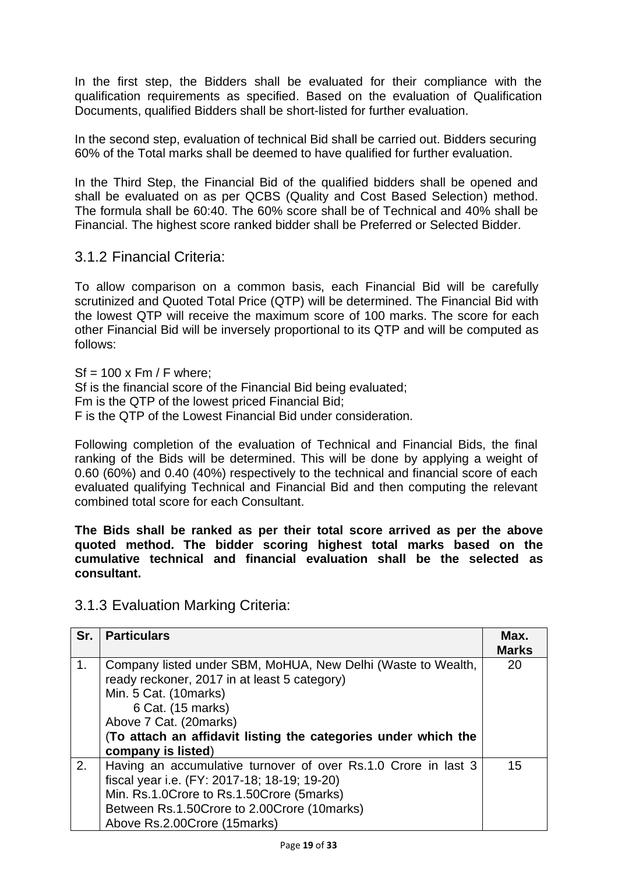In the first step, the Bidders shall be evaluated for their compliance with the qualification requirements as specified. Based on the evaluation of Qualification Documents, qualified Bidders shall be short-listed for further evaluation.

In the second step, evaluation of technical Bid shall be carried out. Bidders securing 60% of the Total marks shall be deemed to have qualified for further evaluation.

In the Third Step, the Financial Bid of the qualified bidders shall be opened and shall be evaluated on as per QCBS (Quality and Cost Based Selection) method. The formula shall be 60:40. The 60% score shall be of Technical and 40% shall be Financial. The highest score ranked bidder shall be Preferred or Selected Bidder.

<span id="page-18-0"></span>3.1.2 Financial Criteria:

To allow comparison on a common basis, each Financial Bid will be carefully scrutinized and Quoted Total Price (QTP) will be determined. The Financial Bid with the lowest QTP will receive the maximum score of 100 marks. The score for each other Financial Bid will be inversely proportional to its QTP and will be computed as follows:

 $Sf = 100 \times Fm / F$  where: Sf is the financial score of the Financial Bid being evaluated; Fm is the QTP of the lowest priced Financial Bid; F is the QTP of the Lowest Financial Bid under consideration.

Following completion of the evaluation of Technical and Financial Bids, the final ranking of the Bids will be determined. This will be done by applying a weight of 0.60 (60%) and 0.40 (40%) respectively to the technical and financial score of each evaluated qualifying Technical and Financial Bid and then computing the relevant combined total score for each Consultant.

**The Bids shall be ranked as per their total score arrived as per the above quoted method. The bidder scoring highest total marks based on the cumulative technical and financial evaluation shall be the selected as consultant.**

#### <span id="page-18-1"></span>3.1.3 Evaluation Marking Criteria:

| Sr.            | <b>Particulars</b>                                                                                                                                                                                                                                                           | Max.<br><b>Marks</b> |
|----------------|------------------------------------------------------------------------------------------------------------------------------------------------------------------------------------------------------------------------------------------------------------------------------|----------------------|
| 1 <sub>1</sub> | Company listed under SBM, MoHUA, New Delhi (Waste to Wealth,<br>ready reckoner, 2017 in at least 5 category)<br>Min. 5 Cat. (10marks)<br>6 Cat. (15 marks)<br>Above 7 Cat. (20marks)<br>(To attach an affidavit listing the categories under which the<br>company is listed) | 20                   |
| 2.             | Having an accumulative turnover of over Rs.1.0 Crore in last 3<br>fiscal year i.e. (FY: 2017-18; 18-19; 19-20)<br>Min. Rs.1.0Crore to Rs.1.50Crore (5marks)<br>Between Rs.1.50Crore to 2.00Crore (10marks)<br>Above Rs.2.00Crore (15marks)                                   | 15                   |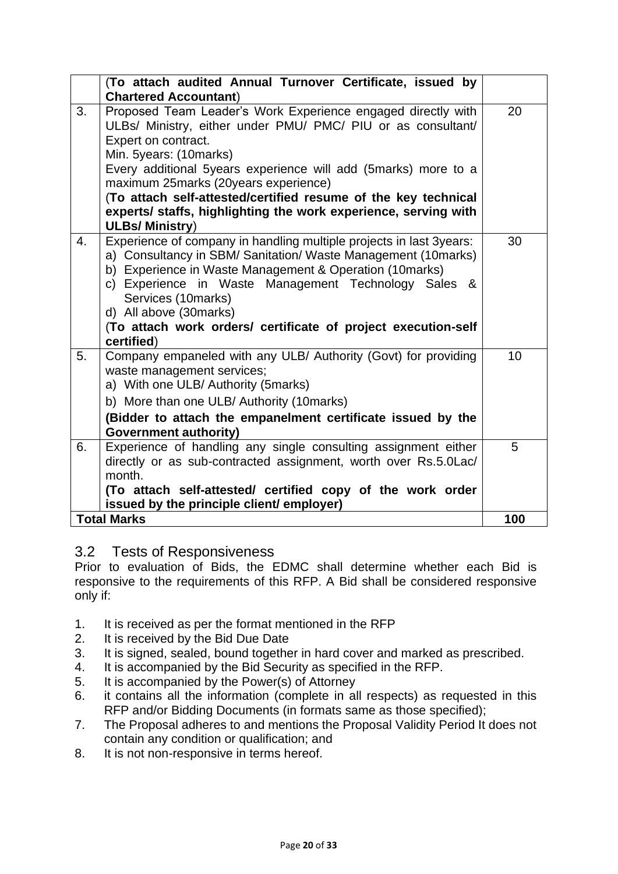| (To attach audited Annual Turnover Certificate, issued by<br><b>Chartered Accountant)</b>                                                                                                                                                                                                                                                                                                                                                                      |     |
|----------------------------------------------------------------------------------------------------------------------------------------------------------------------------------------------------------------------------------------------------------------------------------------------------------------------------------------------------------------------------------------------------------------------------------------------------------------|-----|
| Proposed Team Leader's Work Experience engaged directly with<br>3.<br>ULBs/ Ministry, either under PMU/ PMC/ PIU or as consultant/<br>Expert on contract.<br>Min. 5years: (10marks)<br>Every additional 5 years experience will add (5 marks) more to a<br>maximum 25marks (20years experience)<br>(To attach self-attested/certified resume of the key technical<br>experts/ staffs, highlighting the work experience, serving with<br><b>ULBs/ Ministry)</b> | 20  |
| Experience of company in handling multiple projects in last 3years:<br>4.<br>a) Consultancy in SBM/ Sanitation/ Waste Management (10marks)<br>b) Experience in Waste Management & Operation (10marks)<br>c) Experience in Waste Management Technology Sales &<br>Services (10marks)<br>d) All above (30 marks)<br>(To attach work orders/ certificate of project execution-self<br>certified)                                                                  | 30  |
| 5.<br>Company empaneled with any ULB/ Authority (Govt) for providing<br>waste management services;<br>a) With one ULB/ Authority (5marks)<br>b) More than one ULB/ Authority (10marks)<br>(Bidder to attach the empanelment certificate issued by the<br><b>Government authority)</b>                                                                                                                                                                          | 10  |
| Experience of handling any single consulting assignment either<br>6.<br>directly or as sub-contracted assignment, worth over Rs.5.0Lac/<br>month.<br>(To attach self-attested/ certified copy of the work order<br>issued by the principle client/ employer)                                                                                                                                                                                                   | 5   |
| <b>Total Marks</b>                                                                                                                                                                                                                                                                                                                                                                                                                                             | 100 |

### <span id="page-19-0"></span>3.2 Tests of Responsiveness

Prior to evaluation of Bids, the EDMC shall determine whether each Bid is responsive to the requirements of this RFP. A Bid shall be considered responsive only if:

- 1. It is received as per the format mentioned in the RFP
- 2. It is received by the Bid Due Date
- 3. It is signed, sealed, bound together in hard cover and marked as prescribed.
- 4. It is accompanied by the Bid Security as specified in the RFP.
- 5. It is accompanied by the Power(s) of Attorney
- 6. it contains all the information (complete in all respects) as requested in this RFP and/or Bidding Documents (in formats same as those specified);
- 7. The Proposal adheres to and mentions the Proposal Validity Period It does not contain any condition or qualification; and
- 8. It is not non-responsive in terms hereof.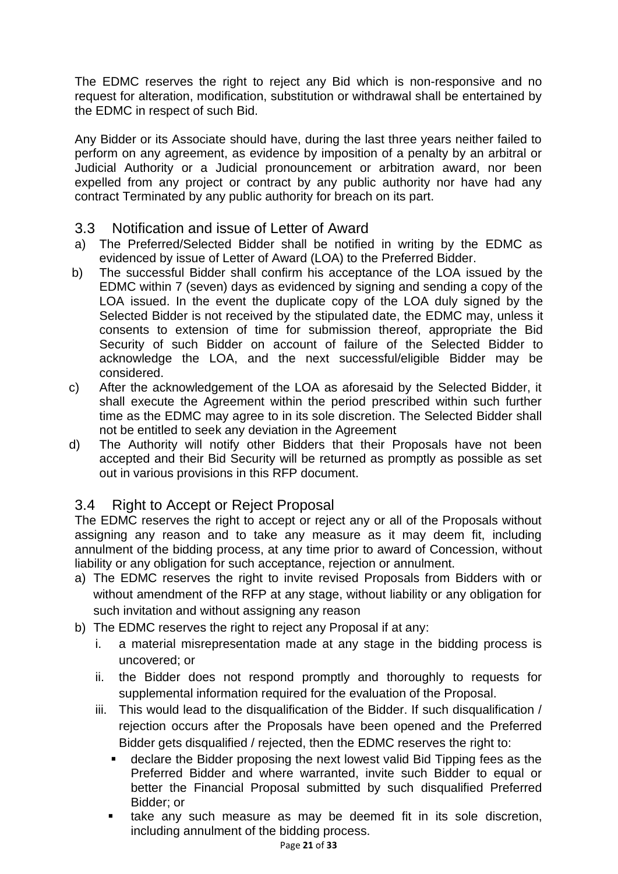The EDMC reserves the right to reject any Bid which is non-responsive and no request for alteration, modification, substitution or withdrawal shall be entertained by the EDMC in respect of such Bid.

Any Bidder or its Associate should have, during the last three years neither failed to perform on any agreement, as evidence by imposition of a penalty by an arbitral or Judicial Authority or a Judicial pronouncement or arbitration award, nor been expelled from any project or contract by any public authority nor have had any contract Terminated by any public authority for breach on its part.

#### <span id="page-20-0"></span>3.3 Notification and issue of Letter of Award

- a) The Preferred/Selected Bidder shall be notified in writing by the EDMC as evidenced by issue of Letter of Award (LOA) to the Preferred Bidder.
- b) The successful Bidder shall confirm his acceptance of the LOA issued by the EDMC within 7 (seven) days as evidenced by signing and sending a copy of the LOA issued. In the event the duplicate copy of the LOA duly signed by the Selected Bidder is not received by the stipulated date, the EDMC may, unless it consents to extension of time for submission thereof, appropriate the Bid Security of such Bidder on account of failure of the Selected Bidder to acknowledge the LOA, and the next successful/eligible Bidder may be considered.
- c) After the acknowledgement of the LOA as aforesaid by the Selected Bidder, it shall execute the Agreement within the period prescribed within such further time as the EDMC may agree to in its sole discretion. The Selected Bidder shall not be entitled to seek any deviation in the Agreement
- d) The Authority will notify other Bidders that their Proposals have not been accepted and their Bid Security will be returned as promptly as possible as set out in various provisions in this RFP document.

### <span id="page-20-1"></span>3.4 Right to Accept or Reject Proposal

The EDMC reserves the right to accept or reject any or all of the Proposals without assigning any reason and to take any measure as it may deem fit, including annulment of the bidding process, at any time prior to award of Concession, without liability or any obligation for such acceptance, rejection or annulment.

- a) The EDMC reserves the right to invite revised Proposals from Bidders with or without amendment of the RFP at any stage, without liability or any obligation for such invitation and without assigning any reason
- b) The EDMC reserves the right to reject any Proposal if at any:
	- i. a material misrepresentation made at any stage in the bidding process is uncovered; or
	- ii. the Bidder does not respond promptly and thoroughly to requests for supplemental information required for the evaluation of the Proposal.
	- iii. This would lead to the disqualification of the Bidder. If such disqualification / rejection occurs after the Proposals have been opened and the Preferred Bidder gets disqualified / rejected, then the EDMC reserves the right to:
		- **EXEDER** declare the Bidder proposing the next lowest valid Bid Tipping fees as the Preferred Bidder and where warranted, invite such Bidder to equal or better the Financial Proposal submitted by such disqualified Preferred Bidder; or
		- **EXEL A** take any such measure as may be deemed fit in its sole discretion, including annulment of the bidding process.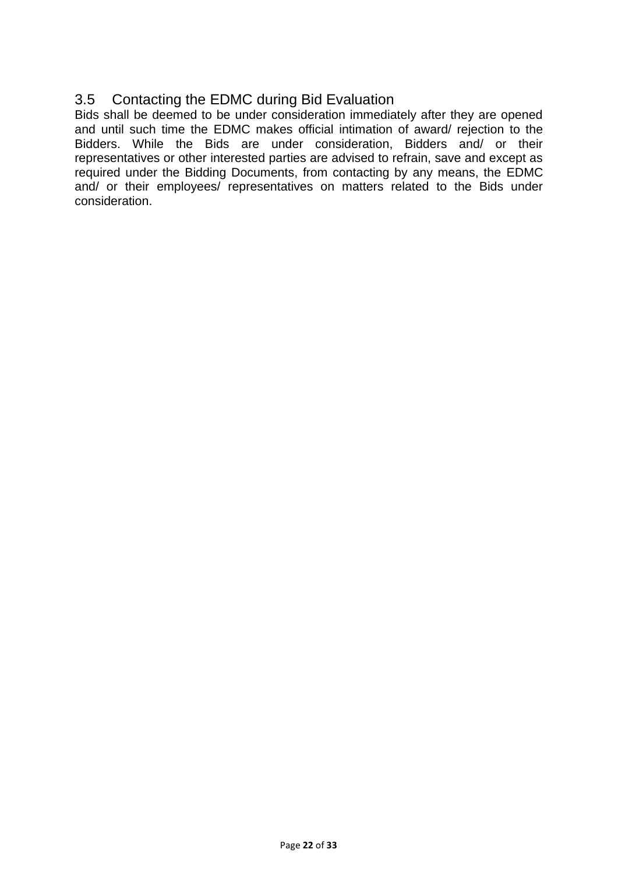### <span id="page-21-0"></span>3.5 Contacting the EDMC during Bid Evaluation

Bids shall be deemed to be under consideration immediately after they are opened and until such time the EDMC makes official intimation of award/ rejection to the Bidders. While the Bids are under consideration, Bidders and/ or their representatives or other interested parties are advised to refrain, save and except as required under the Bidding Documents, from contacting by any means, the EDMC and/ or their employees/ representatives on matters related to the Bids under consideration.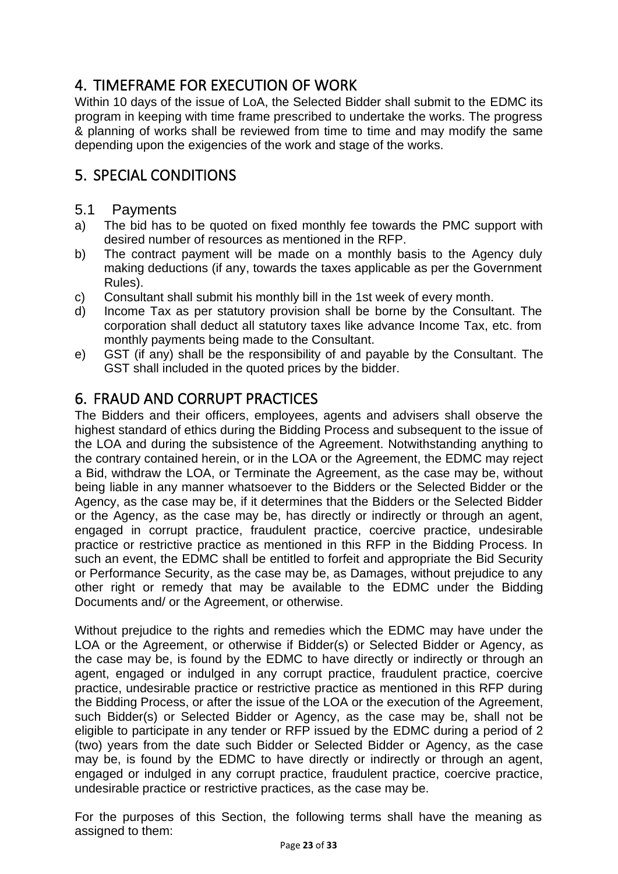## <span id="page-22-0"></span>4. TIMEFRAME FOR EXECUTION OF WORK

Within 10 days of the issue of LoA, the Selected Bidder shall submit to the EDMC its program in keeping with time frame prescribed to undertake the works. The progress & planning of works shall be reviewed from time to time and may modify the same depending upon the exigencies of the work and stage of the works.

## <span id="page-22-1"></span>5. SPECIAL CONDITIONS

#### <span id="page-22-2"></span>5.1 Payments

- a) The bid has to be quoted on fixed monthly fee towards the PMC support with desired number of resources as mentioned in the RFP.
- b) The contract payment will be made on a monthly basis to the Agency duly making deductions (if any, towards the taxes applicable as per the Government Rules).
- c) Consultant shall submit his monthly bill in the 1st week of every month.
- d) Income Tax as per statutory provision shall be borne by the Consultant. The corporation shall deduct all statutory taxes like advance Income Tax, etc. from monthly payments being made to the Consultant.
- e) GST (if any) shall be the responsibility of and payable by the Consultant. The GST shall included in the quoted prices by the bidder.

### <span id="page-22-3"></span>6. FRAUD AND CORRUPT PRACTICES

The Bidders and their officers, employees, agents and advisers shall observe the highest standard of ethics during the Bidding Process and subsequent to the issue of the LOA and during the subsistence of the Agreement. Notwithstanding anything to the contrary contained herein, or in the LOA or the Agreement, the EDMC may reject a Bid, withdraw the LOA, or Terminate the Agreement, as the case may be, without being liable in any manner whatsoever to the Bidders or the Selected Bidder or the Agency, as the case may be, if it determines that the Bidders or the Selected Bidder or the Agency, as the case may be, has directly or indirectly or through an agent, engaged in corrupt practice, fraudulent practice, coercive practice, undesirable practice or restrictive practice as mentioned in this RFP in the Bidding Process. In such an event, the EDMC shall be entitled to forfeit and appropriate the Bid Security or Performance Security, as the case may be, as Damages, without prejudice to any other right or remedy that may be available to the EDMC under the Bidding Documents and/ or the Agreement, or otherwise.

Without prejudice to the rights and remedies which the EDMC may have under the LOA or the Agreement, or otherwise if Bidder(s) or Selected Bidder or Agency, as the case may be, is found by the EDMC to have directly or indirectly or through an agent, engaged or indulged in any corrupt practice, fraudulent practice, coercive practice, undesirable practice or restrictive practice as mentioned in this RFP during the Bidding Process, or after the issue of the LOA or the execution of the Agreement, such Bidder(s) or Selected Bidder or Agency, as the case may be, shall not be eligible to participate in any tender or RFP issued by the EDMC during a period of 2 (two) years from the date such Bidder or Selected Bidder or Agency, as the case may be, is found by the EDMC to have directly or indirectly or through an agent, engaged or indulged in any corrupt practice, fraudulent practice, coercive practice, undesirable practice or restrictive practices, as the case may be.

For the purposes of this Section, the following terms shall have the meaning as assigned to them: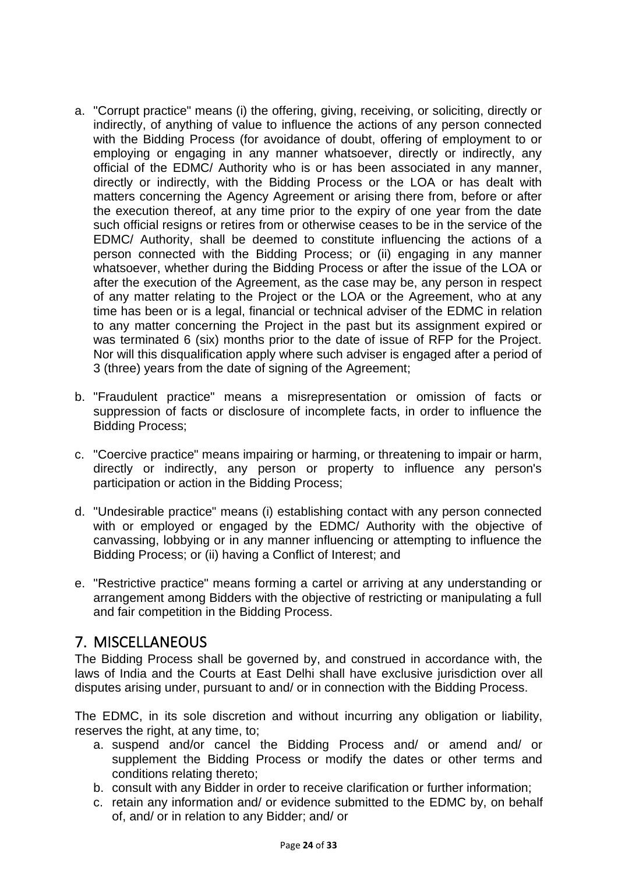- a. "Corrupt practice" means (i) the offering, giving, receiving, or soliciting, directly or indirectly, of anything of value to influence the actions of any person connected with the Bidding Process (for avoidance of doubt, offering of employment to or employing or engaging in any manner whatsoever, directly or indirectly, any official of the EDMC/ Authority who is or has been associated in any manner, directly or indirectly, with the Bidding Process or the LOA or has dealt with matters concerning the Agency Agreement or arising there from, before or after the execution thereof, at any time prior to the expiry of one year from the date such official resigns or retires from or otherwise ceases to be in the service of the EDMC/ Authority, shall be deemed to constitute influencing the actions of a person connected with the Bidding Process; or (ii) engaging in any manner whatsoever, whether during the Bidding Process or after the issue of the LOA or after the execution of the Agreement, as the case may be, any person in respect of any matter relating to the Project or the LOA or the Agreement, who at any time has been or is a legal, financial or technical adviser of the EDMC in relation to any matter concerning the Project in the past but its assignment expired or was terminated 6 (six) months prior to the date of issue of RFP for the Project. Nor will this disqualification apply where such adviser is engaged after a period of 3 (three) years from the date of signing of the Agreement;
- b. "Fraudulent practice" means a misrepresentation or omission of facts or suppression of facts or disclosure of incomplete facts, in order to influence the Bidding Process;
- c. "Coercive practice" means impairing or harming, or threatening to impair or harm, directly or indirectly, any person or property to influence any person's participation or action in the Bidding Process;
- d. "Undesirable practice" means (i) establishing contact with any person connected with or employed or engaged by the EDMC/ Authority with the objective of canvassing, lobbying or in any manner influencing or attempting to influence the Bidding Process; or (ii) having a Conflict of Interest; and
- e. "Restrictive practice" means forming a cartel or arriving at any understanding or arrangement among Bidders with the objective of restricting or manipulating a full and fair competition in the Bidding Process.

### <span id="page-23-0"></span>7. MISCELLANEOUS

The Bidding Process shall be governed by, and construed in accordance with, the laws of India and the Courts at East Delhi shall have exclusive jurisdiction over all disputes arising under, pursuant to and/ or in connection with the Bidding Process.

The EDMC, in its sole discretion and without incurring any obligation or liability, reserves the right, at any time, to;

- a. suspend and/or cancel the Bidding Process and/ or amend and/ or supplement the Bidding Process or modify the dates or other terms and conditions relating thereto;
- b. consult with any Bidder in order to receive clarification or further information;
- c. retain any information and/ or evidence submitted to the EDMC by, on behalf of, and/ or in relation to any Bidder; and/ or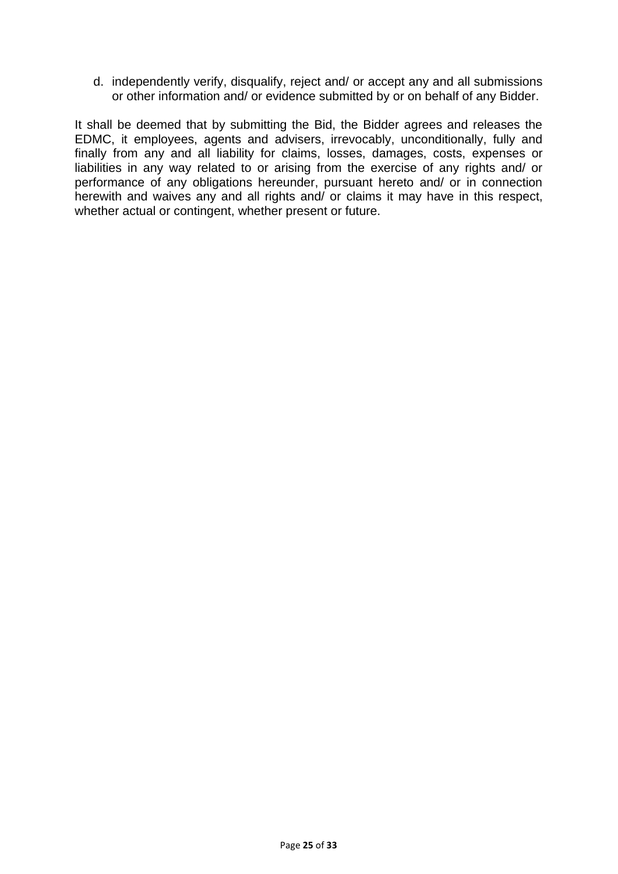d. independently verify, disqualify, reject and/ or accept any and all submissions or other information and/ or evidence submitted by or on behalf of any Bidder.

It shall be deemed that by submitting the Bid, the Bidder agrees and releases the EDMC, it employees, agents and advisers, irrevocably, unconditionally, fully and finally from any and all liability for claims, losses, damages, costs, expenses or liabilities in any way related to or arising from the exercise of any rights and/ or performance of any obligations hereunder, pursuant hereto and/ or in connection herewith and waives any and all rights and/ or claims it may have in this respect, whether actual or contingent, whether present or future.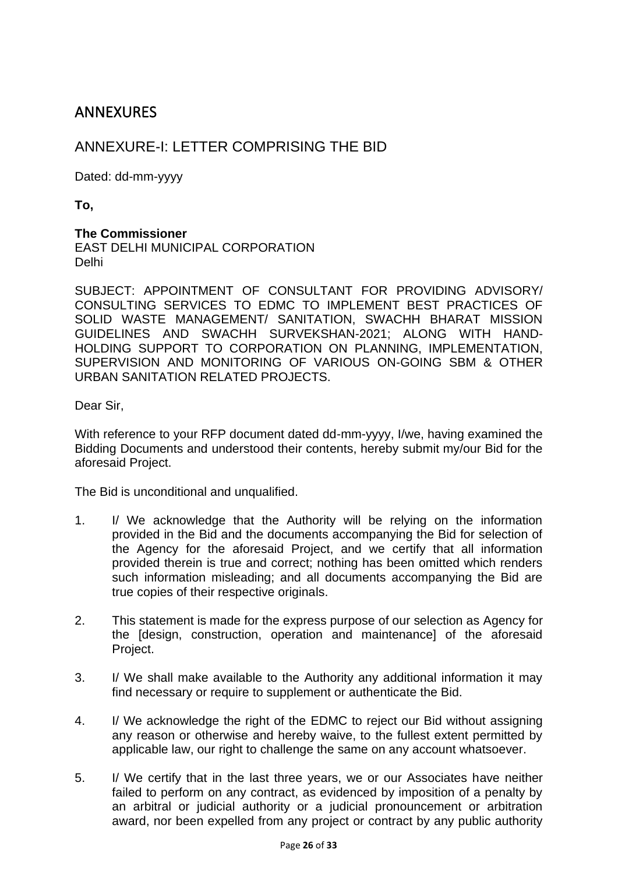### <span id="page-25-0"></span>**ANNEXURES**

#### <span id="page-25-1"></span>ANNEXURE-I: LETTER COMPRISING THE BID

Dated: dd-mm-yyyy

**To,**

#### **The Commissioner**

EAST DELHI MUNICIPAL CORPORATION Delhi

SUBJECT: APPOINTMENT OF CONSULTANT FOR PROVIDING ADVISORY/ CONSULTING SERVICES TO EDMC TO IMPLEMENT BEST PRACTICES OF SOLID WASTE MANAGEMENT/ SANITATION, SWACHH BHARAT MISSION GUIDELINES AND SWACHH SURVEKSHAN-2021; ALONG WITH HAND-HOLDING SUPPORT TO CORPORATION ON PLANNING, IMPLEMENTATION, SUPERVISION AND MONITORING OF VARIOUS ON-GOING SBM & OTHER URBAN SANITATION RELATED PROJECTS.

Dear Sir,

With reference to your RFP document dated dd-mm-yyyy, I/we, having examined the Bidding Documents and understood their contents, hereby submit my/our Bid for the aforesaid Project.

The Bid is unconditional and unqualified.

- 1. I/ We acknowledge that the Authority will be relying on the information provided in the Bid and the documents accompanying the Bid for selection of the Agency for the aforesaid Project, and we certify that all information provided therein is true and correct; nothing has been omitted which renders such information misleading; and all documents accompanying the Bid are true copies of their respective originals.
- 2. This statement is made for the express purpose of our selection as Agency for the [design, construction, operation and maintenance] of the aforesaid Project.
- 3. I/ We shall make available to the Authority any additional information it may find necessary or require to supplement or authenticate the Bid.
- 4. I/ We acknowledge the right of the EDMC to reject our Bid without assigning any reason or otherwise and hereby waive, to the fullest extent permitted by applicable law, our right to challenge the same on any account whatsoever.
- 5. I/ We certify that in the last three years, we or our Associates have neither failed to perform on any contract, as evidenced by imposition of a penalty by an arbitral or judicial authority or a judicial pronouncement or arbitration award, nor been expelled from any project or contract by any public authority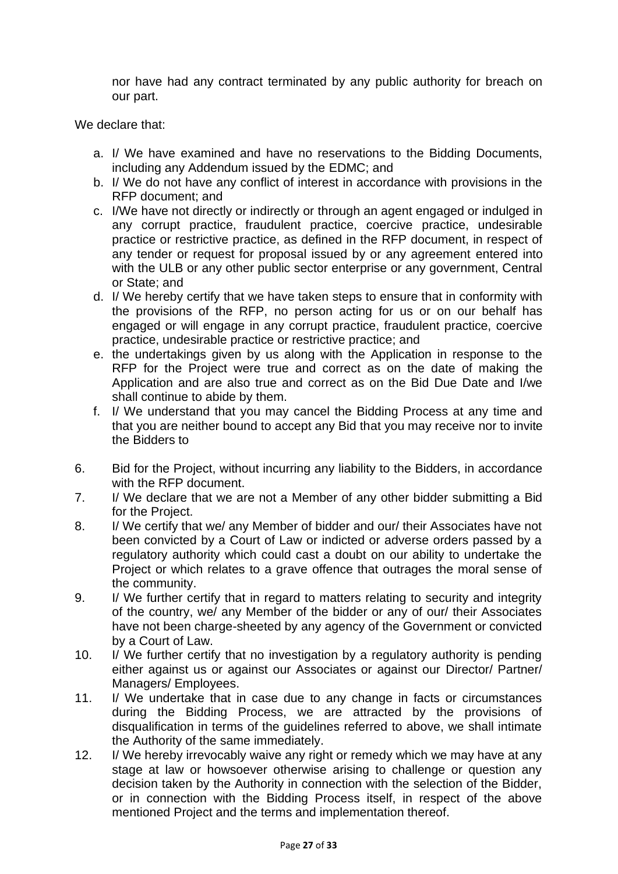nor have had any contract terminated by any public authority for breach on our part.

We declare that:

- a. I/ We have examined and have no reservations to the Bidding Documents, including any Addendum issued by the EDMC; and
- b. I/ We do not have any conflict of interest in accordance with provisions in the RFP document; and
- c. I/We have not directly or indirectly or through an agent engaged or indulged in any corrupt practice, fraudulent practice, coercive practice, undesirable practice or restrictive practice, as defined in the RFP document, in respect of any tender or request for proposal issued by or any agreement entered into with the ULB or any other public sector enterprise or any government, Central or State; and
- d. I/ We hereby certify that we have taken steps to ensure that in conformity with the provisions of the RFP, no person acting for us or on our behalf has engaged or will engage in any corrupt practice, fraudulent practice, coercive practice, undesirable practice or restrictive practice; and
- e. the undertakings given by us along with the Application in response to the RFP for the Project were true and correct as on the date of making the Application and are also true and correct as on the Bid Due Date and I/we shall continue to abide by them.
- f. I/ We understand that you may cancel the Bidding Process at any time and that you are neither bound to accept any Bid that you may receive nor to invite the Bidders to
- 6. Bid for the Project, without incurring any liability to the Bidders, in accordance with the RFP document.
- 7. I/ We declare that we are not a Member of any other bidder submitting a Bid for the Project.
- 8. I/ We certify that we/ any Member of bidder and our/ their Associates have not been convicted by a Court of Law or indicted or adverse orders passed by a regulatory authority which could cast a doubt on our ability to undertake the Project or which relates to a grave offence that outrages the moral sense of the community.
- 9. I/ We further certify that in regard to matters relating to security and integrity of the country, we/ any Member of the bidder or any of our/ their Associates have not been charge-sheeted by any agency of the Government or convicted by a Court of Law.
- 10. I/ We further certify that no investigation by a regulatory authority is pending either against us or against our Associates or against our Director/ Partner/ Managers/ Employees.
- 11. I/ We undertake that in case due to any change in facts or circumstances during the Bidding Process, we are attracted by the provisions of disqualification in terms of the guidelines referred to above, we shall intimate the Authority of the same immediately.
- 12. I/ We hereby irrevocably waive any right or remedy which we may have at any stage at law or howsoever otherwise arising to challenge or question any decision taken by the Authority in connection with the selection of the Bidder, or in connection with the Bidding Process itself, in respect of the above mentioned Project and the terms and implementation thereof.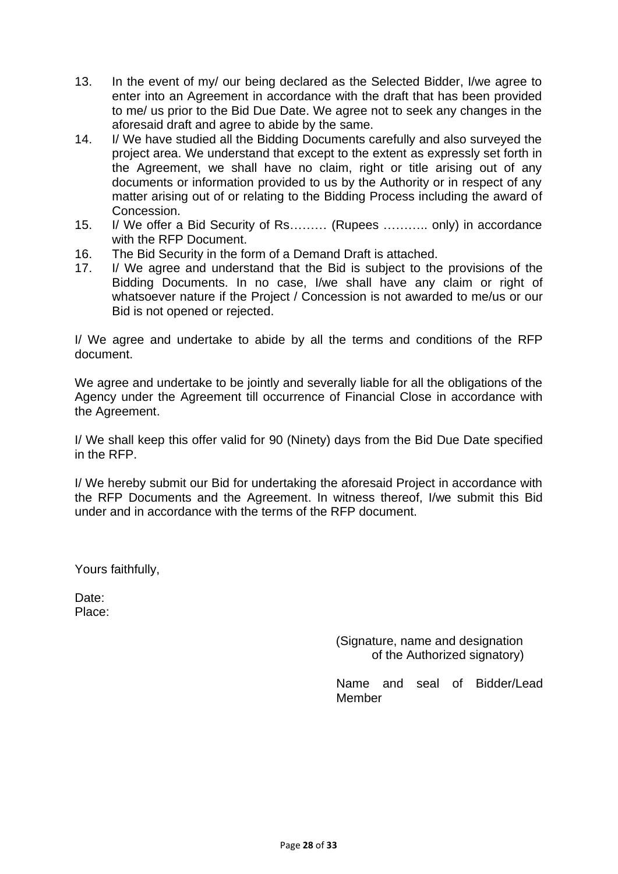- 13. In the event of my/ our being declared as the Selected Bidder, I/we agree to enter into an Agreement in accordance with the draft that has been provided to me/ us prior to the Bid Due Date. We agree not to seek any changes in the aforesaid draft and agree to abide by the same.
- 14. I/ We have studied all the Bidding Documents carefully and also surveyed the project area. We understand that except to the extent as expressly set forth in the Agreement, we shall have no claim, right or title arising out of any documents or information provided to us by the Authority or in respect of any matter arising out of or relating to the Bidding Process including the award of Concession.
- 15. I/ We offer a Bid Security of Rs……… (Rupees ……….. only) in accordance with the RFP Document.
- 16. The Bid Security in the form of a Demand Draft is attached.
- 17. I/ We agree and understand that the Bid is subject to the provisions of the Bidding Documents. In no case, I/we shall have any claim or right of whatsoever nature if the Project / Concession is not awarded to me/us or our Bid is not opened or rejected.

I/ We agree and undertake to abide by all the terms and conditions of the RFP document.

We agree and undertake to be jointly and severally liable for all the obligations of the Agency under the Agreement till occurrence of Financial Close in accordance with the Agreement.

I/ We shall keep this offer valid for 90 (Ninety) days from the Bid Due Date specified in the RFP.

I/ We hereby submit our Bid for undertaking the aforesaid Project in accordance with the RFP Documents and the Agreement. In witness thereof, I/we submit this Bid under and in accordance with the terms of the RFP document.

Yours faithfully,

Date: Place:

> (Signature, name and designation of the Authorized signatory)

Name and seal of Bidder/Lead Member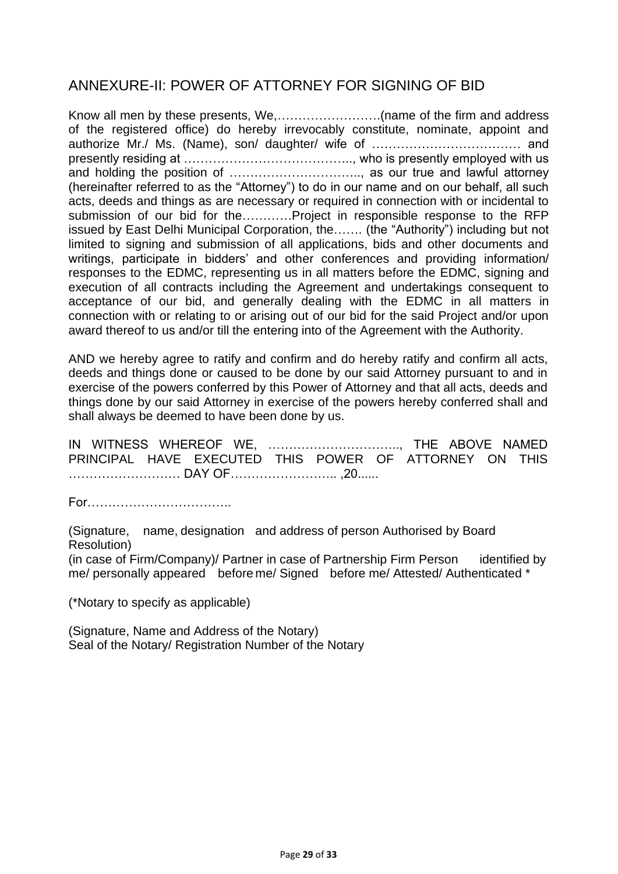### <span id="page-28-0"></span>ANNEXURE-II: POWER OF ATTORNEY FOR SIGNING OF BID

Know all men by these presents, We,…………………….(name of the firm and address of the registered office) do hereby irrevocably constitute, nominate, appoint and authorize Mr./ Ms. (Name), son/ daughter/ wife of ……………………………… and presently residing at ………………………………….., who is presently employed with us and holding the position of ………………………….., as our true and lawful attorney (hereinafter referred to as the "Attorney") to do in our name and on our behalf, all such acts, deeds and things as are necessary or required in connection with or incidental to submission of our bid for the…………Project in responsible response to the RFP issued by East Delhi Municipal Corporation, the……. (the "Authority") including but not limited to signing and submission of all applications, bids and other documents and writings, participate in bidders' and other conferences and providing information/ responses to the EDMC, representing us in all matters before the EDMC, signing and execution of all contracts including the Agreement and undertakings consequent to acceptance of our bid, and generally dealing with the EDMC in all matters in connection with or relating to or arising out of our bid for the said Project and/or upon award thereof to us and/or till the entering into of the Agreement with the Authority.

AND we hereby agree to ratify and confirm and do hereby ratify and confirm all acts, deeds and things done or caused to be done by our said Attorney pursuant to and in exercise of the powers conferred by this Power of Attorney and that all acts, deeds and things done by our said Attorney in exercise of the powers hereby conferred shall and shall always be deemed to have been done by us.

IN WITNESS WHEREOF WE, ………………………….., THE ABOVE NAMED PRINCIPAL HAVE EXECUTED THIS POWER OF ATTORNEY ON THIS ……………………… DAY OF…………………….. ,20......

For……………………………..

(Signature, name, designation and address of person Authorised by Board Resolution)

(in case of Firm/Company)/ Partner in case of Partnership Firm Person identified by me/ personally appeared before me/ Signed before me/ Attested/ Authenticated \*

(\*Notary to specify as applicable)

(Signature, Name and Address of the Notary) Seal of the Notary/ Registration Number of the Notary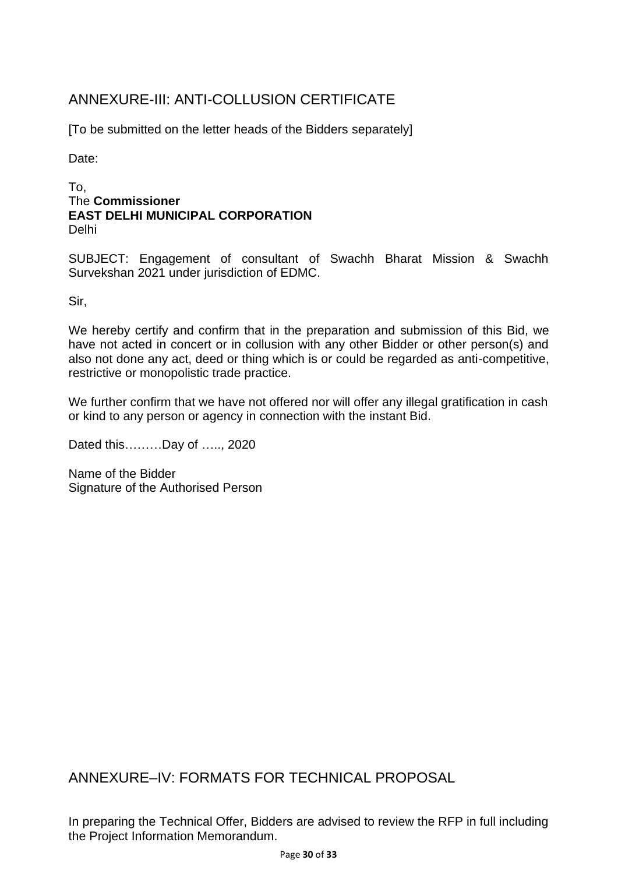## <span id="page-29-0"></span>ANNEXURE-III: ANTI-COLLUSION CERTIFICATE

[To be submitted on the letter heads of the Bidders separately]

Date:

#### To, The **Commissioner EAST DELHI MUNICIPAL CORPORATION** Delhi

SUBJECT: Engagement of consultant of Swachh Bharat Mission & Swachh Survekshan 2021 under jurisdiction of EDMC.

Sir,

We hereby certify and confirm that in the preparation and submission of this Bid, we have not acted in concert or in collusion with any other Bidder or other person(s) and also not done any act, deed or thing which is or could be regarded as anti-competitive, restrictive or monopolistic trade practice.

We further confirm that we have not offered nor will offer any illegal gratification in cash or kind to any person or agency in connection with the instant Bid.

Dated this………Day of ….., 2020

Name of the Bidder Signature of the Authorised Person

<span id="page-29-1"></span>ANNEXURE–IV: FORMATS FOR TECHNICAL PROPOSAL

In preparing the Technical Offer, Bidders are advised to review the RFP in full including the Project Information Memorandum.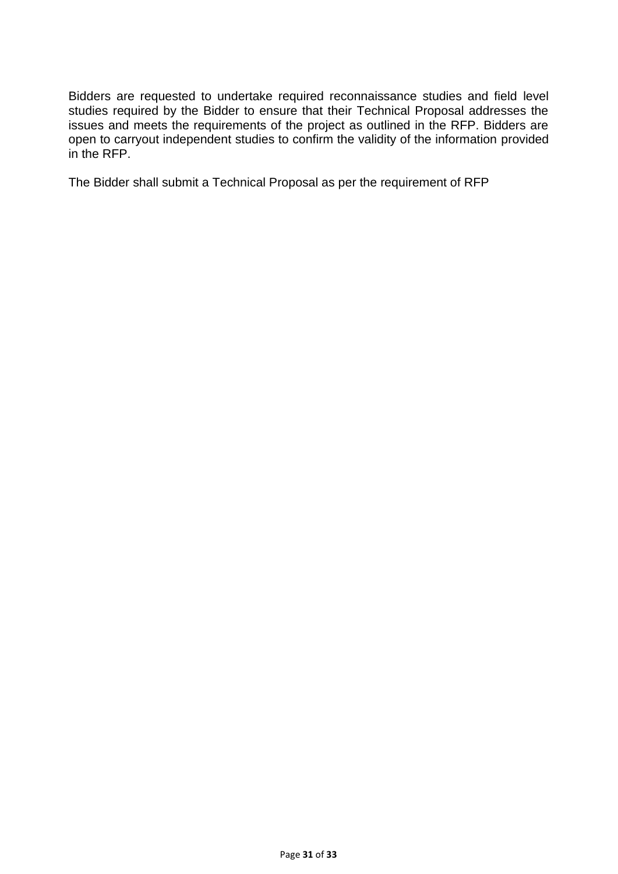Bidders are requested to undertake required reconnaissance studies and field level studies required by the Bidder to ensure that their Technical Proposal addresses the issues and meets the requirements of the project as outlined in the RFP. Bidders are open to carryout independent studies to confirm the validity of the information provided in the RFP.

The Bidder shall submit a Technical Proposal as per the requirement of RFP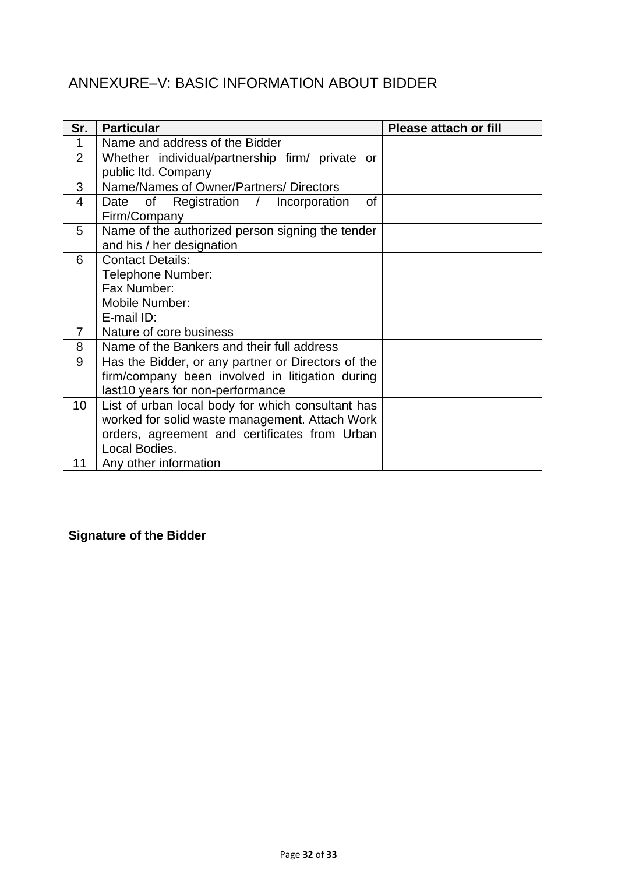## <span id="page-31-0"></span>ANNEXURE–V: BASIC INFORMATION ABOUT BIDDER

| Sr.             | <b>Particular</b>                                  | <b>Please attach or fill</b> |
|-----------------|----------------------------------------------------|------------------------------|
| 1               | Name and address of the Bidder                     |                              |
| $\overline{2}$  | Whether individual/partnership firm/ private or    |                              |
|                 | public Itd. Company                                |                              |
| 3               | Name/Names of Owner/Partners/Directors             |                              |
| 4               | Date of Registration /<br>of<br>Incorporation      |                              |
|                 | Firm/Company                                       |                              |
| 5               | Name of the authorized person signing the tender   |                              |
|                 | and his / her designation                          |                              |
| 6               | <b>Contact Details:</b>                            |                              |
|                 | Telephone Number:                                  |                              |
|                 | Fax Number:                                        |                              |
|                 | Mobile Number:                                     |                              |
|                 | E-mail ID:                                         |                              |
| 7               | Nature of core business                            |                              |
| 8               | Name of the Bankers and their full address         |                              |
| 9               | Has the Bidder, or any partner or Directors of the |                              |
|                 | firm/company been involved in litigation during    |                              |
|                 | last10 years for non-performance                   |                              |
| 10 <sup>°</sup> | List of urban local body for which consultant has  |                              |
|                 | worked for solid waste management. Attach Work     |                              |
|                 | orders, agreement and certificates from Urban      |                              |
|                 | Local Bodies.                                      |                              |
| 11              | Any other information                              |                              |

## **Signature of the Bidder**